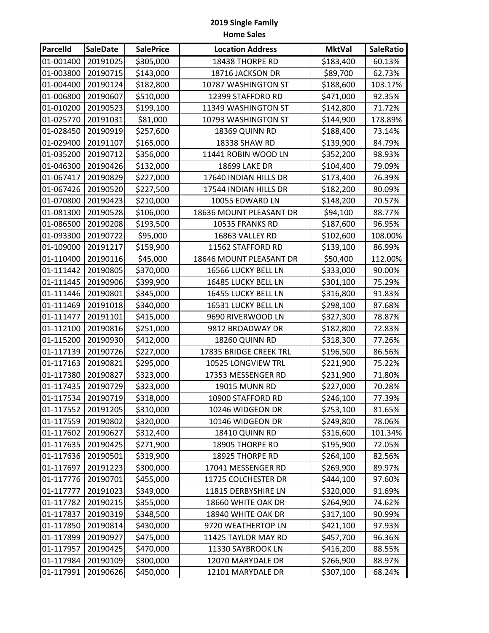| <b>Parcelld</b> | <b>SaleDate</b> | <b>SalePrice</b> | <b>Location Address</b> | <b>MktVal</b> | <b>SaleRatio</b> |
|-----------------|-----------------|------------------|-------------------------|---------------|------------------|
| 01-001400       | 20191025        | \$305,000        | 18438 THORPE RD         | \$183,400     | 60.13%           |
| 01-003800       | 20190715        | \$143,000        | 18716 JACKSON DR        | \$89,700      | 62.73%           |
| 01-004400       | 20190124        | \$182,800        | 10787 WASHINGTON ST     | \$188,600     | 103.17%          |
| 01-006800       | 20190607        | \$510,000        | 12399 STAFFORD RD       | \$471,000     | 92.35%           |
| 01-010200       | 20190523        | \$199,100        | 11349 WASHINGTON ST     | \$142,800     | 71.72%           |
| 01-025770       | 20191031        | \$81,000         | 10793 WASHINGTON ST     | \$144,900     | 178.89%          |
| 01-028450       | 20190919        | \$257,600        | 18369 QUINN RD          | \$188,400     | 73.14%           |
| 01-029400       | 20191107        | \$165,000        | 18338 SHAW RD           | \$139,900     | 84.79%           |
| 01-035200       | 20190712        | \$356,000        | 11441 ROBIN WOOD LN     | \$352,200     | 98.93%           |
| 01-046300       | 20190426        | \$132,000        | <b>18699 LAKE DR</b>    | \$104,400     | 79.09%           |
| 01-067417       | 20190829        | \$227,000        | 17640 INDIAN HILLS DR   | \$173,400     | 76.39%           |
| 01-067426       | 20190520        | \$227,500        | 17544 INDIAN HILLS DR   | \$182,200     | 80.09%           |
| 01-070800       | 20190423        | \$210,000        | 10055 EDWARD LN         | \$148,200     | 70.57%           |
| 01-081300       | 20190528        | \$106,000        | 18636 MOUNT PLEASANT DR | \$94,100      | 88.77%           |
| 01-086500       | 20190208        | \$193,500        | 10535 FRANKS RD         | \$187,600     | 96.95%           |
| 01-093300       | 20190722        | \$95,000         | 16863 VALLEY RD         | \$102,600     | 108.00%          |
| 01-109000       | 20191217        | \$159,900        | 11562 STAFFORD RD       | \$139,100     | 86.99%           |
| 01-110400       | 20190116        | \$45,000         | 18646 MOUNT PLEASANT DR | \$50,400      | 112.00%          |
| 01-111442       | 20190805        | \$370,000        | 16566 LUCKY BELL LN     | \$333,000     | 90.00%           |
| 01-111445       | 20190906        | \$399,900        | 16485 LUCKY BELL LN     | \$301,100     | 75.29%           |
| 01-111446       | 20190801        | \$345,000        | 16455 LUCKY BELL LN     | \$316,800     | 91.83%           |
| 01-111469       | 20191018        | \$340,000        | 16531 LUCKY BELL LN     | \$298,100     | 87.68%           |
| 01-111477       | 20191101        | \$415,000        | 9690 RIVERWOOD LN       | \$327,300     | 78.87%           |
| 01-112100       | 20190816        | \$251,000        | 9812 BROADWAY DR        | \$182,800     | 72.83%           |
| 01-115200       | 20190930        | \$412,000        | 18260 QUINN RD          | \$318,300     | 77.26%           |
| 01-117139       | 20190726        | \$227,000        | 17835 BRIDGE CREEK TRL  | \$196,500     | 86.56%           |
| 01-117163       | 20190821        | \$295,000        | 10525 LONGVIEW TRL      | \$221,900     | 75.22%           |
| 01-117380       | 20190827        | \$323,000        | 17353 MESSENGER RD      | \$231,900     | 71.80%           |
| 01-117435       | 20190729        | \$323,000        | 19015 MUNN RD           | \$227,000     | 70.28%           |
| 01-117534       | 20190719        | \$318,000        | 10900 STAFFORD RD       | \$246,100     | 77.39%           |
| 01-117552       | 20191205        | \$310,000        | 10246 WIDGEON DR        | \$253,100     | 81.65%           |
| 01-117559       | 20190802        | \$320,000        | 10146 WIDGEON DR        | \$249,800     | 78.06%           |
| 01-117602       | 20190627        | \$312,400        | 18410 QUINN RD          | \$316,600     | 101.34%          |
| 01-117635       | 20190425        | \$271,900        | 18905 THORPE RD         | \$195,900     | 72.05%           |
| 01-117636       | 20190501        | \$319,900        | 18925 THORPE RD         | \$264,100     | 82.56%           |
| 01-117697       | 20191223        | \$300,000        | 17041 MESSENGER RD      | \$269,900     | 89.97%           |
| 01-117776       | 20190701        | \$455,000        | 11725 COLCHESTER DR     | \$444,100     | 97.60%           |
| 01-117777       | 20191023        | \$349,000        | 11815 DERBYSHIRE LN     | \$320,000     | 91.69%           |
| 01-117782       | 20190215        | \$355,000        | 18660 WHITE OAK DR      | \$264,900     | 74.62%           |
| 01-117837       | 20190319        | \$348,500        | 18940 WHITE OAK DR      | \$317,100     | 90.99%           |
| 01-117850       | 20190814        | \$430,000        | 9720 WEATHERTOP LN      | \$421,100     | 97.93%           |
| 01-117899       | 20190927        | \$475,000        | 11425 TAYLOR MAY RD     | \$457,700     | 96.36%           |
| 01-117957       | 20190425        | \$470,000        | 11330 SAYBROOK LN       | \$416,200     | 88.55%           |
| 01-117984       | 20190109        | \$300,000        | 12070 MARYDALE DR       | \$266,900     | 88.97%           |
| 01-117991       | 20190626        | \$450,000        | 12101 MARYDALE DR       | \$307,100     | 68.24%           |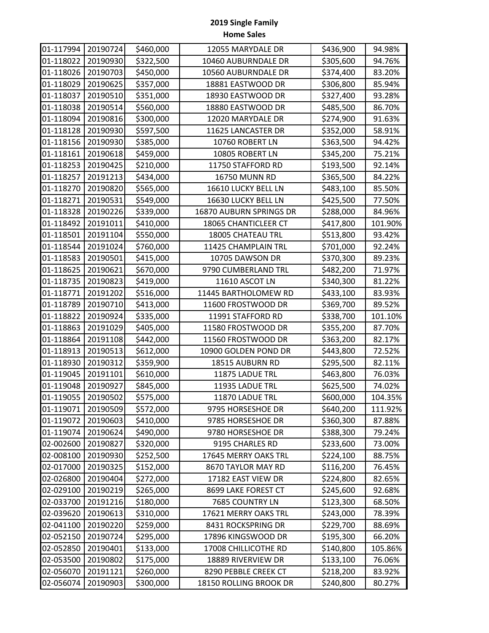| 01-117994 | 20190724 | \$460,000 | 12055 MARYDALE DR       | \$436,900 | 94.98%  |
|-----------|----------|-----------|-------------------------|-----------|---------|
| 01-118022 | 20190930 | \$322,500 | 10460 AUBURNDALE DR     | \$305,600 | 94.76%  |
| 01-118026 | 20190703 | \$450,000 | 10560 AUBURNDALE DR     | \$374,400 | 83.20%  |
| 01-118029 | 20190625 | \$357,000 | 18881 EASTWOOD DR       | \$306,800 | 85.94%  |
| 01-118037 | 20190510 | \$351,000 | 18930 EASTWOOD DR       | \$327,400 | 93.28%  |
| 01-118038 | 20190514 | \$560,000 | 18880 EASTWOOD DR       | \$485,500 | 86.70%  |
| 01-118094 | 20190816 | \$300,000 | 12020 MARYDALE DR       | \$274,900 | 91.63%  |
| 01-118128 | 20190930 | \$597,500 | 11625 LANCASTER DR      | \$352,000 | 58.91%  |
| 01-118156 | 20190930 | \$385,000 | 10760 ROBERT LN         | \$363,500 | 94.42%  |
| 01-118161 | 20190618 | \$459,000 | 10805 ROBERT LN         | \$345,200 | 75.21%  |
| 01-118253 | 20190425 | \$210,000 | 11750 STAFFORD RD       | \$193,500 | 92.14%  |
| 01-118257 | 20191213 | \$434,000 | 16750 MUNN RD           | \$365,500 | 84.22%  |
| 01-118270 | 20190820 | \$565,000 | 16610 LUCKY BELL LN     | \$483,100 | 85.50%  |
| 01-118271 | 20190531 | \$549,000 | 16630 LUCKY BELL LN     | \$425,500 | 77.50%  |
| 01-118328 | 20190226 | \$339,000 | 16870 AUBURN SPRINGS DR | \$288,000 | 84.96%  |
| 01-118492 | 20191011 | \$410,000 | 18065 CHANTICLEER CT    | \$417,800 | 101.90% |
| 01-118501 | 20191104 | \$550,000 | 18005 CHATEAU TRL       | \$513,800 | 93.42%  |
| 01-118544 | 20191024 | \$760,000 | 11425 CHAMPLAIN TRL     | \$701,000 | 92.24%  |
| 01-118583 | 20190501 | \$415,000 | 10705 DAWSON DR         | \$370,300 | 89.23%  |
| 01-118625 | 20190621 | \$670,000 | 9790 CUMBERLAND TRL     | \$482,200 | 71.97%  |
| 01-118735 | 20190823 | \$419,000 | 11610 ASCOT LN          | \$340,300 | 81.22%  |
| 01-118771 | 20191202 | \$516,000 | 11445 BARTHOLOMEW RD    | \$433,100 | 83.93%  |
| 01-118789 | 20190710 | \$413,000 | 11600 FROSTWOOD DR      | \$369,700 | 89.52%  |
| 01-118822 | 20190924 | \$335,000 | 11991 STAFFORD RD       | \$338,700 | 101.10% |
| 01-118863 | 20191029 | \$405,000 | 11580 FROSTWOOD DR      | \$355,200 | 87.70%  |
| 01-118864 | 20191108 | \$442,000 | 11560 FROSTWOOD DR      | \$363,200 | 82.17%  |
| 01-118913 | 20190513 | \$612,000 | 10900 GOLDEN POND DR    | \$443,800 | 72.52%  |
| 01-118930 | 20190312 | \$359,900 | 18515 AUBURN RD         | \$295,500 | 82.11%  |
| 01-119045 | 20191101 | \$610,000 | 11875 LADUE TRL         | \$463,800 | 76.03%  |
| 01-119048 | 20190927 | \$845,000 | 11935 LADUE TRL         | \$625,500 | 74.02%  |
| 01-119055 | 20190502 | \$575,000 | 11870 LADUE TRL         | \$600,000 | 104.35% |
| 01-119071 | 20190509 | \$572,000 | 9795 HORSESHOE DR       | \$640,200 | 111.92% |
| 01-119072 | 20190603 | \$410,000 | 9785 HORSESHOE DR       | \$360,300 | 87.88%  |
| 01-119074 | 20190624 | \$490,000 | 9780 HORSESHOE DR       | \$388,300 | 79.24%  |
| 02-002600 | 20190827 | \$320,000 | 9195 CHARLES RD         | \$233,600 | 73.00%  |
| 02-008100 | 20190930 | \$252,500 | 17645 MERRY OAKS TRL    | \$224,100 | 88.75%  |
| 02-017000 | 20190325 | \$152,000 | 8670 TAYLOR MAY RD      | \$116,200 | 76.45%  |
| 02-026800 | 20190404 | \$272,000 | 17182 EAST VIEW DR      | \$224,800 | 82.65%  |
| 02-029100 | 20190219 | \$265,000 | 8699 LAKE FOREST CT     | \$245,600 | 92.68%  |
| 02-033700 | 20191216 | \$180,000 | 7685 COUNTRY LN         | \$123,300 | 68.50%  |
| 02-039620 | 20190613 | \$310,000 | 17621 MERRY OAKS TRL    | \$243,000 | 78.39%  |
| 02-041100 | 20190220 | \$259,000 | 8431 ROCKSPRING DR      | \$229,700 | 88.69%  |
| 02-052150 | 20190724 | \$295,000 | 17896 KINGSWOOD DR      | \$195,300 | 66.20%  |
| 02-052850 | 20190401 | \$133,000 | 17008 CHILLICOTHE RD    | \$140,800 | 105.86% |
| 02-053500 | 20190802 | \$175,000 | 18889 RIVERVIEW DR      | \$133,100 | 76.06%  |
| 02-056070 | 20191121 | \$260,000 | 8290 PEBBLE CREEK CT    | \$218,200 | 83.92%  |
| 02-056074 | 20190903 | \$300,000 | 18150 ROLLING BROOK DR  | \$240,800 | 80.27%  |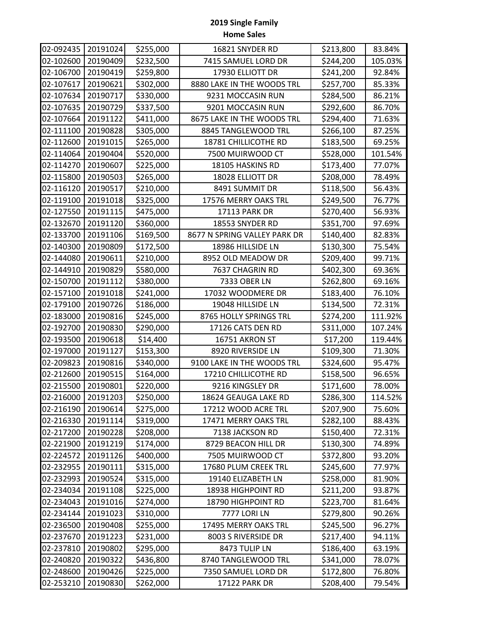| 02-092435 | 20191024 | \$255,000 | 16821 SNYDER RD              | \$213,800 | 83.84%  |
|-----------|----------|-----------|------------------------------|-----------|---------|
| 02-102600 | 20190409 | \$232,500 | 7415 SAMUEL LORD DR          | \$244,200 | 105.03% |
| 02-106700 | 20190419 | \$259,800 | 17930 ELLIOTT DR             | \$241,200 | 92.84%  |
| 02-107617 | 20190621 | \$302,000 | 8880 LAKE IN THE WOODS TRL   | \$257,700 | 85.33%  |
| 02-107634 | 20190717 | \$330,000 | 9231 MOCCASIN RUN            | \$284,500 | 86.21%  |
| 02-107635 | 20190729 | \$337,500 | 9201 MOCCASIN RUN            | \$292,600 | 86.70%  |
| 02-107664 | 20191122 | \$411,000 | 8675 LAKE IN THE WOODS TRL   | \$294,400 | 71.63%  |
| 02-111100 | 20190828 | \$305,000 | 8845 TANGLEWOOD TRL          | \$266,100 | 87.25%  |
| 02-112600 | 20191015 | \$265,000 | 18781 CHILLICOTHE RD         | \$183,500 | 69.25%  |
| 02-114064 | 20190404 | \$520,000 | 7500 MUIRWOOD CT             | \$528,000 | 101.54% |
| 02-114270 | 20190607 | \$225,000 | 18105 HASKINS RD             | \$173,400 | 77.07%  |
| 02-115800 | 20190503 | \$265,000 | 18028 ELLIOTT DR             | \$208,000 | 78.49%  |
| 02-116120 | 20190517 | \$210,000 | 8491 SUMMIT DR               | \$118,500 | 56.43%  |
| 02-119100 | 20191018 | \$325,000 | 17576 MERRY OAKS TRL         | \$249,500 | 76.77%  |
| 02-127550 | 20191115 | \$475,000 | 17113 PARK DR                | \$270,400 | 56.93%  |
| 02-132670 | 20191120 | \$360,000 | 18553 SNYDER RD              | \$351,700 | 97.69%  |
| 02-133700 | 20191106 | \$169,500 | 8677 N SPRING VALLEY PARK DR | \$140,400 | 82.83%  |
| 02-140300 | 20190809 | \$172,500 | 18986 HILLSIDE LN            | \$130,300 | 75.54%  |
| 02-144080 | 20190611 | \$210,000 | 8952 OLD MEADOW DR           | \$209,400 | 99.71%  |
| 02-144910 | 20190829 | \$580,000 | 7637 CHAGRIN RD              | \$402,300 | 69.36%  |
| 02-150700 | 20191112 | \$380,000 | 7333 OBER LN                 | \$262,800 | 69.16%  |
| 02-157100 | 20191018 | \$241,000 | 17032 WOODMERE DR            | \$183,400 | 76.10%  |
| 02-179100 | 20190726 | \$186,000 | 19048 HILLSIDE LN            | \$134,500 | 72.31%  |
| 02-183000 | 20190816 | \$245,000 | 8765 HOLLY SPRINGS TRL       | \$274,200 | 111.92% |
| 02-192700 | 20190830 | \$290,000 | 17126 CATS DEN RD            | \$311,000 | 107.24% |
| 02-193500 | 20190618 | \$14,400  | 16751 AKRON ST               | \$17,200  | 119.44% |
| 02-197000 | 20191127 | \$153,300 | 8920 RIVERSIDE LN            | \$109,300 | 71.30%  |
| 02-209823 | 20190816 | \$340,000 | 9100 LAKE IN THE WOODS TRL   | \$324,600 | 95.47%  |
| 02-212600 | 20190515 | \$164,000 | 17210 CHILLICOTHE RD         | \$158,500 | 96.65%  |
| 02-215500 | 20190801 | \$220,000 | 9216 KINGSLEY DR             | \$171,600 | 78.00%  |
| 02-216000 | 20191203 | \$250,000 | 18624 GEAUGA LAKE RD         | \$286,300 | 114.52% |
| 02-216190 | 20190614 | \$275,000 | 17212 WOOD ACRE TRL          | \$207,900 | 75.60%  |
| 02-216330 | 20191114 | \$319,000 | 17471 MERRY OAKS TRL         | \$282,100 | 88.43%  |
| 02-217200 | 20190228 | \$208,000 | 7138 JACKSON RD              | \$150,400 | 72.31%  |
| 02-221900 | 20191219 | \$174,000 | 8729 BEACON HILL DR          | \$130,300 | 74.89%  |
| 02-224572 | 20191126 | \$400,000 | 7505 MUIRWOOD CT             | \$372,800 | 93.20%  |
| 02-232955 | 20190111 | \$315,000 | 17680 PLUM CREEK TRL         | \$245,600 | 77.97%  |
| 02-232993 | 20190524 | \$315,000 | 19140 ELIZABETH LN           | \$258,000 | 81.90%  |
| 02-234034 | 20191108 | \$225,000 | 18938 HIGHPOINT RD           | \$211,200 | 93.87%  |
| 02-234043 | 20191016 | \$274,000 | 18790 HIGHPOINT RD           | \$223,700 | 81.64%  |
| 02-234144 | 20191023 | \$310,000 | 7777 LORI LN                 | \$279,800 | 90.26%  |
| 02-236500 | 20190408 | \$255,000 | 17495 MERRY OAKS TRL         | \$245,500 | 96.27%  |
| 02-237670 | 20191223 | \$231,000 | 8003 S RIVERSIDE DR          | \$217,400 | 94.11%  |
| 02-237810 | 20190802 | \$295,000 | 8473 TULIP LN                | \$186,400 | 63.19%  |
| 02-240820 | 20190322 | \$436,800 | 8740 TANGLEWOOD TRL          | \$341,000 | 78.07%  |
| 02-248600 | 20190426 | \$225,000 | 7350 SAMUEL LORD DR          | \$172,800 | 76.80%  |
| 02-253210 | 20190830 | \$262,000 | 17122 PARK DR                | \$208,400 | 79.54%  |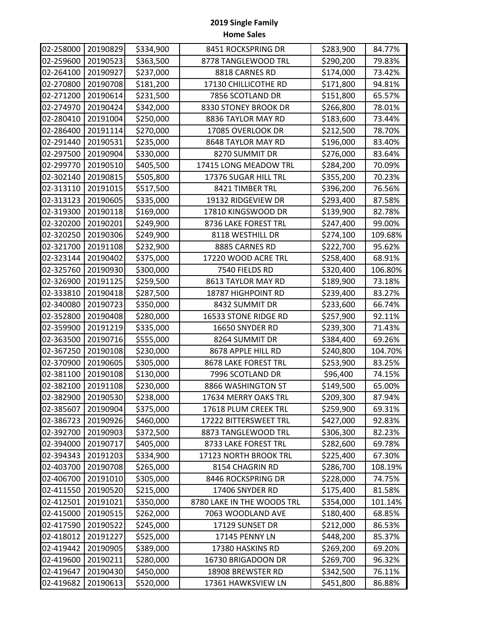| 02-258000 | 20190829 | \$334,900 | 8451 ROCKSPRING DR         | \$283,900 | 84.77%  |
|-----------|----------|-----------|----------------------------|-----------|---------|
| 02-259600 | 20190523 | \$363,500 | 8778 TANGLEWOOD TRL        | \$290,200 | 79.83%  |
| 02-264100 | 20190927 | \$237,000 | 8818 CARNES RD             | \$174,000 | 73.42%  |
| 02-270800 | 20190708 | \$181,200 | 17130 CHILLICOTHE RD       | \$171,800 | 94.81%  |
| 02-271200 | 20190614 | \$231,500 | 7856 SCOTLAND DR           | \$151,800 | 65.57%  |
| 02-274970 | 20190424 | \$342,000 | 8330 STONEY BROOK DR       | \$266,800 | 78.01%  |
| 02-280410 | 20191004 | \$250,000 | 8836 TAYLOR MAY RD         | \$183,600 | 73.44%  |
| 02-286400 | 20191114 | \$270,000 | 17085 OVERLOOK DR          | \$212,500 | 78.70%  |
| 02-291440 | 20190531 | \$235,000 | 8648 TAYLOR MAY RD         | \$196,000 | 83.40%  |
| 02-297500 | 20190904 | \$330,000 | 8270 SUMMIT DR             | \$276,000 | 83.64%  |
| 02-299770 | 20190510 | \$405,500 | 17415 LONG MEADOW TRL      | \$284,200 | 70.09%  |
| 02-302140 | 20190815 | \$505,800 | 17376 SUGAR HILL TRL       | \$355,200 | 70.23%  |
| 02-313110 | 20191015 | \$517,500 | 8421 TIMBER TRL            | \$396,200 | 76.56%  |
| 02-313123 | 20190605 | \$335,000 | 19132 RIDGEVIEW DR         | \$293,400 | 87.58%  |
| 02-319300 | 20190118 | \$169,000 | 17810 KINGSWOOD DR         | \$139,900 | 82.78%  |
| 02-320200 | 20190201 | \$249,900 | 8736 LAKE FOREST TRL       | \$247,400 | 99.00%  |
| 02-320250 | 20190306 | \$249,900 | 8118 WESTHILL DR           | \$274,100 | 109.68% |
| 02-321700 | 20191108 | \$232,900 | 8885 CARNES RD             | \$222,700 | 95.62%  |
| 02-323144 | 20190402 | \$375,000 | 17220 WOOD ACRE TRL        | \$258,400 | 68.91%  |
| 02-325760 | 20190930 | \$300,000 | 7540 FIELDS RD             | \$320,400 | 106.80% |
| 02-326900 | 20191125 | \$259,500 | 8613 TAYLOR MAY RD         | \$189,900 | 73.18%  |
| 02-333810 | 20190418 | \$287,500 | 18787 HIGHPOINT RD         | \$239,400 | 83.27%  |
| 02-340080 | 20190723 | \$350,000 | 8432 SUMMIT DR             | \$233,600 | 66.74%  |
| 02-352800 | 20190408 | \$280,000 | 16533 STONE RIDGE RD       | \$257,900 | 92.11%  |
| 02-359900 | 20191219 | \$335,000 | 16650 SNYDER RD            | \$239,300 | 71.43%  |
| 02-363500 | 20190716 | \$555,000 | 8264 SUMMIT DR             | \$384,400 | 69.26%  |
| 02-367250 | 20190108 | \$230,000 | 8678 APPLE HILL RD         | \$240,800 | 104.70% |
| 02-370900 | 20190605 | \$305,000 | 8678 LAKE FOREST TRL       | \$253,900 | 83.25%  |
| 02-381100 | 20190108 | \$130,000 | 7996 SCOTLAND DR           | \$96,400  | 74.15%  |
| 02-382100 | 20191108 | \$230,000 | 8866 WASHINGTON ST         | \$149,500 | 65.00%  |
| 02-382900 | 20190530 | \$238,000 | 17634 MERRY OAKS TRL       | \$209,300 | 87.94%  |
| 02-385607 | 20190904 | \$375,000 | 17618 PLUM CREEK TRL       | \$259,900 | 69.31%  |
| 02-386723 | 20190926 | \$460,000 | 17222 BITTERSWEET TRL      | \$427,000 | 92.83%  |
| 02-392700 | 20190903 | \$372,500 | 8873 TANGLEWOOD TRL        | \$306,300 | 82.23%  |
| 02-394000 | 20190717 | \$405,000 | 8733 LAKE FOREST TRL       | \$282,600 | 69.78%  |
| 02-394343 | 20191203 | \$334,900 | 17123 NORTH BROOK TRL      | \$225,400 | 67.30%  |
| 02-403700 | 20190708 | \$265,000 | 8154 CHAGRIN RD            | \$286,700 | 108.19% |
| 02-406700 | 20191010 | \$305,000 | 8446 ROCKSPRING DR         | \$228,000 | 74.75%  |
| 02-411550 | 20190520 | \$215,000 | 17406 SNYDER RD            | \$175,400 | 81.58%  |
| 02-412501 | 20191021 | \$350,000 | 8780 LAKE IN THE WOODS TRL | \$354,000 | 101.14% |
| 02-415000 | 20190515 | \$262,000 | 7063 WOODLAND AVE          | \$180,400 | 68.85%  |
| 02-417590 | 20190522 | \$245,000 | 17129 SUNSET DR            | \$212,000 | 86.53%  |
| 02-418012 | 20191227 | \$525,000 | 17145 PENNY LN             | \$448,200 | 85.37%  |
| 02-419442 | 20190905 | \$389,000 | 17380 HASKINS RD           | \$269,200 | 69.20%  |
| 02-419600 | 20190211 | \$280,000 | 16730 BRIGADOON DR         | \$269,700 | 96.32%  |
| 02-419647 | 20190430 | \$450,000 | 18908 BREWSTER RD          | \$342,500 | 76.11%  |
| 02-419682 | 20190613 | \$520,000 | 17361 HAWKSVIEW LN         | \$451,800 | 86.88%  |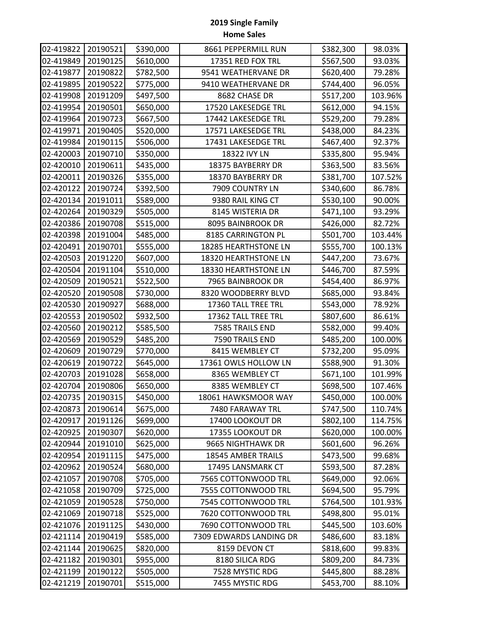| 02-419822 | 20190521 | \$390,000 | 8661 PEPPERMILL RUN     | \$382,300 | 98.03%  |
|-----------|----------|-----------|-------------------------|-----------|---------|
| 02-419849 | 20190125 | \$610,000 | 17351 RED FOX TRL       | \$567,500 | 93.03%  |
| 02-419877 | 20190822 | \$782,500 | 9541 WEATHERVANE DR     | \$620,400 | 79.28%  |
| 02-419895 | 20190522 | \$775,000 | 9410 WEATHERVANE DR     | \$744,400 | 96.05%  |
| 02-419908 | 20191209 | \$497,500 | 8682 CHASE DR           | \$517,200 | 103.96% |
| 02-419954 | 20190501 | \$650,000 | 17520 LAKESEDGE TRL     | \$612,000 | 94.15%  |
| 02-419964 | 20190723 | \$667,500 | 17442 LAKESEDGE TRL     | \$529,200 | 79.28%  |
| 02-419971 | 20190405 | \$520,000 | 17571 LAKESEDGE TRL     | \$438,000 | 84.23%  |
| 02-419984 | 20190115 | \$506,000 | 17431 LAKESEDGE TRL     | \$467,400 | 92.37%  |
| 02-420003 | 20190710 | \$350,000 | 18322 IVY LN            | \$335,800 | 95.94%  |
| 02-420010 | 20190611 | \$435,000 | 18375 BAYBERRY DR       | \$363,500 | 83.56%  |
| 02-420011 | 20190326 | \$355,000 | 18370 BAYBERRY DR       | \$381,700 | 107.52% |
| 02-420122 | 20190724 | \$392,500 | 7909 COUNTRY LN         | \$340,600 | 86.78%  |
| 02-420134 | 20191011 | \$589,000 | 9380 RAIL KING CT       | \$530,100 | 90.00%  |
| 02-420264 | 20190329 | \$505,000 | 8145 WISTERIA DR        | \$471,100 | 93.29%  |
| 02-420386 | 20190708 | \$515,000 | 8095 BAINBROOK DR       | \$426,000 | 82.72%  |
| 02-420398 | 20191004 | \$485,000 | 8185 CARRINGTON PL      | \$501,700 | 103.44% |
| 02-420491 | 20190701 | \$555,000 | 18285 HEARTHSTONE LN    | \$555,700 | 100.13% |
| 02-420503 | 20191220 | \$607,000 | 18320 HEARTHSTONE LN    | \$447,200 | 73.67%  |
| 02-420504 | 20191104 | \$510,000 | 18330 HEARTHSTONE LN    | \$446,700 | 87.59%  |
| 02-420509 | 20190521 | \$522,500 | 7965 BAINBROOK DR       | \$454,400 | 86.97%  |
| 02-420520 | 20190508 | \$730,000 | 8320 WOODBERRY BLVD     | \$685,000 | 93.84%  |
| 02-420530 | 20190927 | \$688,000 | 17360 TALL TREE TRL     | \$543,000 | 78.92%  |
| 02-420553 | 20190502 | \$932,500 | 17362 TALL TREE TRL     | \$807,600 | 86.61%  |
| 02-420560 | 20190212 | \$585,500 | 7585 TRAILS END         | \$582,000 | 99.40%  |
| 02-420569 | 20190529 | \$485,200 | 7590 TRAILS END         | \$485,200 | 100.00% |
| 02-420609 | 20190729 | \$770,000 | 8415 WEMBLEY CT         | \$732,200 | 95.09%  |
| 02-420619 | 20190722 | \$645,000 | 17361 OWLS HOLLOW LN    | \$588,900 | 91.30%  |
| 02-420703 | 20191028 | \$658,000 | 8365 WEMBLEY CT         | \$671,100 | 101.99% |
| 02-420704 | 20190806 | \$650,000 | 8385 WEMBLEY CT         | \$698,500 | 107.46% |
| 02-420735 | 20190315 | \$450,000 | 18061 HAWKSMOOR WAY     | \$450,000 | 100.00% |
| 02-420873 | 20190614 | \$675,000 | 7480 FARAWAY TRL        | \$747,500 | 110.74% |
| 02-420917 | 20191126 | \$699,000 | 17400 LOOKOUT DR        | \$802,100 | 114.75% |
| 02-420925 | 20190307 | \$620,000 | 17355 LOOKOUT DR        | \$620,000 | 100.00% |
| 02-420944 | 20191010 | \$625,000 | 9665 NIGHTHAWK DR       | \$601,600 | 96.26%  |
| 02-420954 | 20191115 | \$475,000 | 18545 AMBER TRAILS      | \$473,500 | 99.68%  |
| 02-420962 | 20190524 | \$680,000 | 17495 LANSMARK CT       | \$593,500 | 87.28%  |
| 02-421057 | 20190708 | \$705,000 | 7565 COTTONWOOD TRL     | \$649,000 | 92.06%  |
| 02-421058 | 20190709 | \$725,000 | 7555 COTTONWOOD TRL     | \$694,500 | 95.79%  |
| 02-421059 | 20190528 | \$750,000 | 7545 COTTONWOOD TRL     | \$764,500 | 101.93% |
| 02-421069 | 20190718 | \$525,000 | 7620 COTTONWOOD TRL     | \$498,800 | 95.01%  |
| 02-421076 | 20191125 | \$430,000 | 7690 COTTONWOOD TRL     | \$445,500 | 103.60% |
| 02-421114 | 20190419 | \$585,000 | 7309 EDWARDS LANDING DR | \$486,600 | 83.18%  |
| 02-421144 | 20190625 | \$820,000 | 8159 DEVON CT           | \$818,600 | 99.83%  |
| 02-421182 | 20190301 | \$955,000 | 8180 SILICA RDG         | \$809,200 | 84.73%  |
| 02-421199 | 20190122 | \$505,000 | 7528 MYSTIC RDG         | \$445,800 | 88.28%  |
| 02-421219 | 20190701 | \$515,000 | 7455 MYSTIC RDG         | \$453,700 | 88.10%  |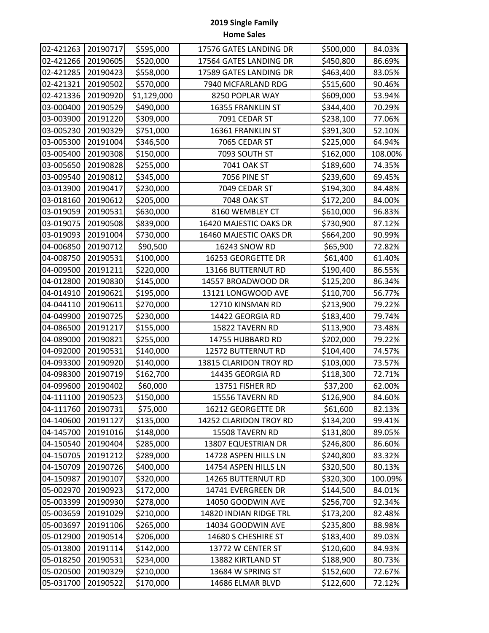| 02-421263 | 20190717 | \$595,000   | 17576 GATES LANDING DR | \$500,000 | 84.03%  |
|-----------|----------|-------------|------------------------|-----------|---------|
| 02-421266 | 20190605 | \$520,000   | 17564 GATES LANDING DR | \$450,800 | 86.69%  |
| 02-421285 | 20190423 | \$558,000   | 17589 GATES LANDING DR | \$463,400 | 83.05%  |
| 02-421321 | 20190502 | \$570,000   | 7940 MCFARLAND RDG     | \$515,600 | 90.46%  |
| 02-421336 | 20190920 | \$1,129,000 | 8250 POPLAR WAY        | \$609,000 | 53.94%  |
| 03-000400 | 20190529 | \$490,000   | 16355 FRANKLIN ST      | \$344,400 | 70.29%  |
| 03-003900 | 20191220 | \$309,000   | 7091 CEDAR ST          | \$238,100 | 77.06%  |
| 03-005230 | 20190329 | \$751,000   | 16361 FRANKLIN ST      | \$391,300 | 52.10%  |
| 03-005300 | 20191004 | \$346,500   | 7065 CEDAR ST          | \$225,000 | 64.94%  |
| 03-005400 | 20190308 | \$150,000   | 7093 SOUTH ST          | \$162,000 | 108.00% |
| 03-005650 | 20190828 | \$255,000   | 7041 OAK ST            | \$189,600 | 74.35%  |
| 03-009540 | 20190812 | \$345,000   | <b>7056 PINE ST</b>    | \$239,600 | 69.45%  |
| 03-013900 | 20190417 | \$230,000   | 7049 CEDAR ST          | \$194,300 | 84.48%  |
| 03-018160 | 20190612 | \$205,000   | 7048 OAK ST            | \$172,200 | 84.00%  |
| 03-019059 | 20190531 | \$630,000   | 8160 WEMBLEY CT        | \$610,000 | 96.83%  |
| 03-019075 | 20190508 | \$839,000   | 16420 MAJESTIC OAKS DR | \$730,900 | 87.12%  |
| 03-019093 | 20191004 | \$730,000   | 16460 MAJESTIC OAKS DR | \$664,200 | 90.99%  |
| 04-006850 | 20190712 | \$90,500    | 16243 SNOW RD          | \$65,900  | 72.82%  |
| 04-008750 | 20190531 | \$100,000   | 16253 GEORGETTE DR     | \$61,400  | 61.40%  |
| 04-009500 | 20191211 | \$220,000   | 13166 BUTTERNUT RD     | \$190,400 | 86.55%  |
| 04-012800 | 20190830 | \$145,000   | 14557 BROADWOOD DR     | \$125,200 | 86.34%  |
| 04-014910 | 20190621 | \$195,000   | 13121 LONGWOOD AVE     | \$110,700 | 56.77%  |
| 04-044110 | 20190611 | \$270,000   | 12710 KINSMAN RD       | \$213,900 | 79.22%  |
| 04-049900 | 20190725 | \$230,000   | 14422 GEORGIA RD       | \$183,400 | 79.74%  |
| 04-086500 | 20191217 | \$155,000   | 15822 TAVERN RD        | \$113,900 | 73.48%  |
| 04-089000 | 20190821 | \$255,000   | 14755 HUBBARD RD       | \$202,000 | 79.22%  |
| 04-092000 | 20190531 | \$140,000   | 12572 BUTTERNUT RD     | \$104,400 | 74.57%  |
| 04-093300 | 20190920 | \$140,000   | 13815 CLARIDON TROY RD | \$103,000 | 73.57%  |
| 04-098300 | 20190719 | \$162,700   | 14435 GEORGIA RD       | \$118,300 | 72.71%  |
| 04-099600 | 20190402 | \$60,000    | 13751 FISHER RD        | \$37,200  | 62.00%  |
| 04-111100 | 20190523 | \$150,000   | 15556 TAVERN RD        | \$126,900 | 84.60%  |
| 04-111760 | 20190731 | \$75,000    | 16212 GEORGETTE DR     | \$61,600  | 82.13%  |
| 04-140600 | 20191127 | \$135,000   | 14252 CLARIDON TROY RD | \$134,200 | 99.41%  |
| 04-145700 | 20191016 | \$148,000   | 15508 TAVERN RD        | \$131,800 | 89.05%  |
| 04-150540 | 20190404 | \$285,000   | 13807 EQUESTRIAN DR    | \$246,800 | 86.60%  |
| 04-150705 | 20191212 | \$289,000   | 14728 ASPEN HILLS LN   | \$240,800 | 83.32%  |
| 04-150709 | 20190726 | \$400,000   | 14754 ASPEN HILLS LN   | \$320,500 | 80.13%  |
| 04-150987 | 20190107 | \$320,000   | 14265 BUTTERNUT RD     | \$320,300 | 100.09% |
| 05-002970 | 20190923 | \$172,000   | 14741 EVERGREEN DR     | \$144,500 | 84.01%  |
| 05-003399 | 20190930 | \$278,000   | 14050 GOODWIN AVE      | \$256,700 | 92.34%  |
| 05-003659 | 20191029 | \$210,000   | 14820 INDIAN RIDGE TRL | \$173,200 | 82.48%  |
| 05-003697 | 20191106 | \$265,000   | 14034 GOODWIN AVE      | \$235,800 | 88.98%  |
| 05-012900 | 20190514 | \$206,000   | 14680 S CHESHIRE ST    | \$183,400 | 89.03%  |
| 05-013800 | 20191114 | \$142,000   | 13772 W CENTER ST      | \$120,600 | 84.93%  |
| 05-018250 | 20190531 | \$234,000   | 13882 KIRTLAND ST      | \$188,900 | 80.73%  |
| 05-020500 | 20190329 | \$210,000   | 13684 W SPRING ST      | \$152,600 | 72.67%  |
| 05-031700 | 20190522 | \$170,000   | 14686 ELMAR BLVD       | \$122,600 | 72.12%  |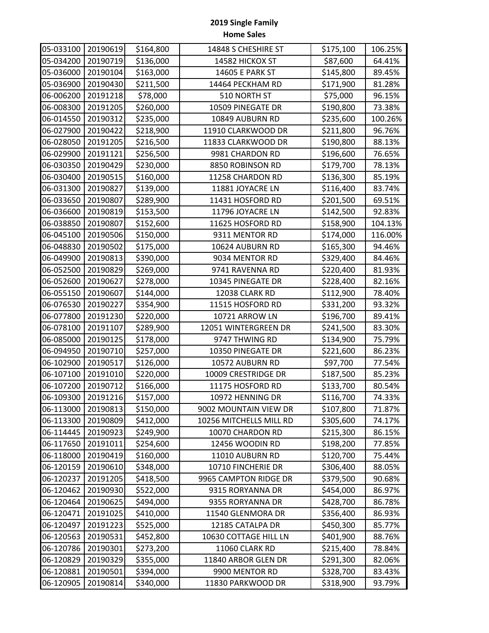| 05-033100 | 20190619 | \$164,800 | 14848 S CHESHIRE ST     | \$175,100 | 106.25% |
|-----------|----------|-----------|-------------------------|-----------|---------|
| 05-034200 | 20190719 | \$136,000 | 14582 HICKOX ST         | \$87,600  | 64.41%  |
| 05-036000 | 20190104 | \$163,000 | 14605 E PARK ST         | \$145,800 | 89.45%  |
| 05-036900 | 20190430 | \$211,500 | 14464 PECKHAM RD        | \$171,900 | 81.28%  |
| 06-006200 | 20191218 | \$78,000  | 510 NORTH ST            | \$75,000  | 96.15%  |
| 06-008300 | 20191205 | \$260,000 | 10509 PINEGATE DR       | \$190,800 | 73.38%  |
| 06-014550 | 20190312 | \$235,000 | 10849 AUBURN RD         | \$235,600 | 100.26% |
| 06-027900 | 20190422 | \$218,900 | 11910 CLARKWOOD DR      | \$211,800 | 96.76%  |
| 06-028050 | 20191205 | \$216,500 | 11833 CLARKWOOD DR      | \$190,800 | 88.13%  |
| 06-029900 | 20191121 | \$256,500 | 9981 CHARDON RD         | \$196,600 | 76.65%  |
| 06-030350 | 20190429 | \$230,000 | 8850 ROBINSON RD        | \$179,700 | 78.13%  |
| 06-030400 | 20190515 | \$160,000 | 11258 CHARDON RD        | \$136,300 | 85.19%  |
| 06-031300 | 20190827 | \$139,000 | 11881 JOYACRE LN        | \$116,400 | 83.74%  |
| 06-033650 | 20190807 | \$289,900 | 11431 HOSFORD RD        | \$201,500 | 69.51%  |
| 06-036600 | 20190819 | \$153,500 | 11796 JOYACRE LN        | \$142,500 | 92.83%  |
| 06-038850 | 20190807 | \$152,600 | 11625 HOSFORD RD        | \$158,900 | 104.13% |
| 06-045100 | 20190506 | \$150,000 | 9311 MENTOR RD          | \$174,000 | 116.00% |
| 06-048830 | 20190502 | \$175,000 | 10624 AUBURN RD         | \$165,300 | 94.46%  |
| 06-049900 | 20190813 | \$390,000 | 9034 MENTOR RD          | \$329,400 | 84.46%  |
| 06-052500 | 20190829 | \$269,000 | 9741 RAVENNA RD         | \$220,400 | 81.93%  |
| 06-052600 | 20190627 | \$278,000 | 10345 PINEGATE DR       | \$228,400 | 82.16%  |
| 06-055150 | 20190607 | \$144,000 | 12038 CLARK RD          | \$112,900 | 78.40%  |
| 06-076530 | 20190227 | \$354,900 | 11515 HOSFORD RD        | \$331,200 | 93.32%  |
| 06-077800 | 20191230 | \$220,000 | 10721 ARROW LN          | \$196,700 | 89.41%  |
| 06-078100 | 20191107 | \$289,900 | 12051 WINTERGREEN DR    | \$241,500 | 83.30%  |
| 06-085000 | 20190125 | \$178,000 | 9747 THWING RD          | \$134,900 | 75.79%  |
| 06-094950 | 20190710 | \$257,000 | 10350 PINEGATE DR       | \$221,600 | 86.23%  |
| 06-102900 | 20190517 | \$126,000 | 10572 AUBURN RD         | \$97,700  | 77.54%  |
| 06-107100 | 20191010 | \$220,000 | 10009 CRESTRIDGE DR     | \$187,500 | 85.23%  |
| 06-107200 | 20190712 | \$166,000 | 11175 HOSFORD RD        | \$133,700 | 80.54%  |
| 06-109300 | 20191216 | \$157,000 | 10972 HENNING DR        | \$116,700 | 74.33%  |
| 06-113000 | 20190813 | \$150,000 | 9002 MOUNTAIN VIEW DR   | \$107,800 | 71.87%  |
| 06-113300 | 20190809 | \$412,000 | 10256 MITCHELLS MILL RD | \$305,600 | 74.17%  |
| 06-114445 | 20190923 | \$249,900 | 10070 CHARDON RD        | \$215,300 | 86.15%  |
| 06-117650 | 20191011 | \$254,600 | 12456 WOODIN RD         | \$198,200 | 77.85%  |
| 06-118000 | 20190419 | \$160,000 | 11010 AUBURN RD         | \$120,700 | 75.44%  |
| 06-120159 | 20190610 | \$348,000 | 10710 FINCHERIE DR      | \$306,400 | 88.05%  |
| 06-120237 | 20191205 | \$418,500 | 9965 CAMPTON RIDGE DR   | \$379,500 | 90.68%  |
| 06-120462 | 20190930 | \$522,000 | 9315 RORYANNA DR        | \$454,000 | 86.97%  |
| 06-120464 | 20190625 | \$494,000 | 9355 RORYANNA DR        | \$428,700 | 86.78%  |
| 06-120471 | 20191025 | \$410,000 | 11540 GLENMORA DR       | \$356,400 | 86.93%  |
| 06-120497 | 20191223 | \$525,000 | 12185 CATALPA DR        | \$450,300 | 85.77%  |
| 06-120563 | 20190531 | \$452,800 | 10630 COTTAGE HILL LN   | \$401,900 | 88.76%  |
| 06-120786 | 20190301 | \$273,200 | 11060 CLARK RD          | \$215,400 | 78.84%  |
| 06-120829 | 20190329 | \$355,000 | 11840 ARBOR GLEN DR     | \$291,300 | 82.06%  |
| 06-120881 | 20190501 | \$394,000 | 9900 MENTOR RD          | \$328,700 | 83.43%  |
| 06-120905 | 20190814 | \$340,000 | 11830 PARKWOOD DR       | \$318,900 | 93.79%  |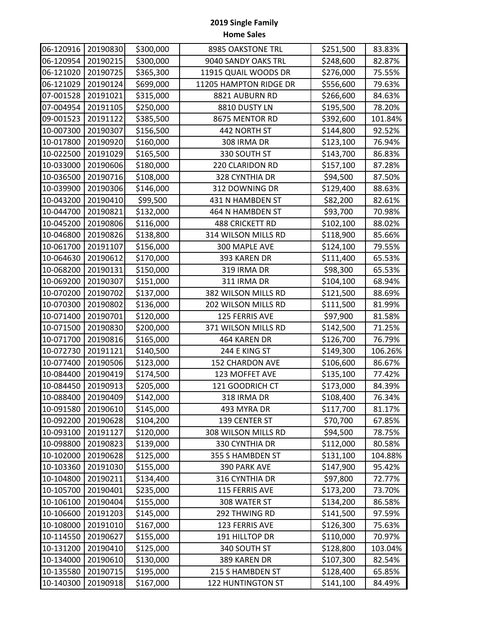| 06-120916 | 20190830 | \$300,000 | 8985 OAKSTONE TRL        | \$251,500 | 83.83%  |
|-----------|----------|-----------|--------------------------|-----------|---------|
| 06-120954 | 20190215 | \$300,000 | 9040 SANDY OAKS TRL      | \$248,600 | 82.87%  |
| 06-121020 | 20190725 | \$365,300 | 11915 QUAIL WOODS DR     | \$276,000 | 75.55%  |
| 06-121029 | 20190124 | \$699,000 | 11205 HAMPTON RIDGE DR   | \$556,600 | 79.63%  |
| 07-001528 | 20191021 | \$315,000 | 8821 AUBURN RD           | \$266,600 | 84.63%  |
| 07-004954 | 20191105 | \$250,000 | 8810 DUSTY LN            | \$195,500 | 78.20%  |
| 09-001523 | 20191122 | \$385,500 | 8675 MENTOR RD           | \$392,600 | 101.84% |
| 10-007300 | 20190307 | \$156,500 | 442 NORTH ST             | \$144,800 | 92.52%  |
| 10-017800 | 20190920 | \$160,000 | 308 IRMA DR              | \$123,100 | 76.94%  |
| 10-022500 | 20191029 | \$165,500 | 330 SOUTH ST             | \$143,700 | 86.83%  |
| 10-033000 | 20190606 | \$180,000 | 220 CLARIDON RD          | \$157,100 | 87.28%  |
| 10-036500 | 20190716 | \$108,000 | 328 CYNTHIA DR           | \$94,500  | 87.50%  |
| 10-039900 | 20190306 | \$146,000 | 312 DOWNING DR           | \$129,400 | 88.63%  |
| 10-043200 | 20190410 | \$99,500  | 431 N HAMBDEN ST         | \$82,200  | 82.61%  |
| 10-044700 | 20190821 | \$132,000 | 464 N HAMBDEN ST         | \$93,700  | 70.98%  |
| 10-045200 | 20190806 | \$116,000 | <b>488 CRICKETT RD</b>   | \$102,100 | 88.02%  |
| 10-046800 | 20190826 | \$138,800 | 314 WILSON MILLS RD      | \$118,900 | 85.66%  |
| 10-061700 | 20191107 | \$156,000 | 300 MAPLE AVE            | \$124,100 | 79.55%  |
| 10-064630 | 20190612 | \$170,000 | 393 KAREN DR             | \$111,400 | 65.53%  |
| 10-068200 | 20190131 | \$150,000 | 319 IRMA DR              | \$98,300  | 65.53%  |
| 10-069200 | 20190307 | \$151,000 | 311 IRMA DR              | \$104,100 | 68.94%  |
| 10-070200 | 20190702 | \$137,000 | 382 WILSON MILLS RD      | \$121,500 | 88.69%  |
| 10-070300 | 20190802 | \$136,000 | 202 WILSON MILLS RD      | \$111,500 | 81.99%  |
| 10-071400 | 20190701 | \$120,000 | 125 FERRIS AVE           | \$97,900  | 81.58%  |
| 10-071500 | 20190830 | \$200,000 | 371 WILSON MILLS RD      | \$142,500 | 71.25%  |
| 10-071700 | 20190816 | \$165,000 | 464 KAREN DR             | \$126,700 | 76.79%  |
| 10-072730 | 20191121 | \$140,500 | 244 E KING ST            | \$149,300 | 106.26% |
| 10-077400 | 20190506 | \$123,000 | 152 CHARDON AVE          | \$106,600 | 86.67%  |
| 10-084400 | 20190419 | \$174,500 | 123 MOFFET AVE           | \$135,100 | 77.42%  |
| 10-084450 | 20190913 | \$205,000 | 121 GOODRICH CT          | \$173,000 | 84.39%  |
| 10-088400 | 20190409 | \$142,000 | 318 IRMA DR              | \$108,400 | 76.34%  |
| 10-091580 | 20190610 | \$145,000 | 493 MYRA DR              | \$117,700 | 81.17%  |
| 10-092200 | 20190628 | \$104,200 | 139 CENTER ST            | \$70,700  | 67.85%  |
| 10-093100 | 20191127 | \$120,000 | 308 WILSON MILLS RD      | \$94,500  | 78.75%  |
| 10-098800 | 20190823 | \$139,000 | 330 CYNTHIA DR           | \$112,000 | 80.58%  |
| 10-102000 | 20190628 | \$125,000 | 355 S HAMBDEN ST         | \$131,100 | 104.88% |
| 10-103360 | 20191030 | \$155,000 | 390 PARK AVE             | \$147,900 | 95.42%  |
| 10-104800 | 20190211 | \$134,400 | 316 CYNTHIA DR           | \$97,800  | 72.77%  |
| 10-105700 | 20190401 | \$235,000 | 115 FERRIS AVE           | \$173,200 | 73.70%  |
| 10-106100 | 20190404 | \$155,000 | 308 WATER ST             | \$134,200 | 86.58%  |
| 10-106600 | 20191203 | \$145,000 | 292 THWING RD            | \$141,500 | 97.59%  |
| 10-108000 | 20191010 | \$167,000 | 123 FERRIS AVE           | \$126,300 | 75.63%  |
| 10-114550 | 20190627 | \$155,000 | 191 HILLTOP DR           | \$110,000 | 70.97%  |
| 10-131200 | 20190410 | \$125,000 | 340 SOUTH ST             | \$128,800 | 103.04% |
| 10-134000 | 20190610 | \$130,000 | 389 KAREN DR             | \$107,300 | 82.54%  |
| 10-135580 | 20190715 | \$195,000 | 215 S HAMBDEN ST         | \$128,400 | 65.85%  |
| 10-140300 | 20190918 | \$167,000 | <b>122 HUNTINGTON ST</b> | \$141,100 | 84.49%  |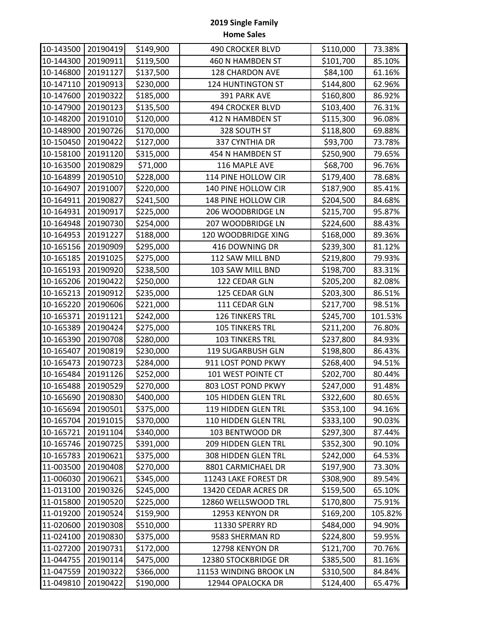| 10-143500 | 20190419 | \$149,900 | 490 CROCKER BLVD       | \$110,000 | 73.38%  |
|-----------|----------|-----------|------------------------|-----------|---------|
| 10-144300 | 20190911 | \$119,500 | 460 N HAMBDEN ST       | \$101,700 | 85.10%  |
| 10-146800 | 20191127 | \$137,500 | 128 CHARDON AVE        | \$84,100  | 61.16%  |
| 10-147110 | 20190913 | \$230,000 | 124 HUNTINGTON ST      | \$144,800 | 62.96%  |
| 10-147600 | 20190322 | \$185,000 | 391 PARK AVE           | \$160,800 | 86.92%  |
| 10-147900 | 20190123 | \$135,500 | 494 CROCKER BLVD       | \$103,400 | 76.31%  |
| 10-148200 | 20191010 | \$120,000 | 412 N HAMBDEN ST       | \$115,300 | 96.08%  |
| 10-148900 | 20190726 | \$170,000 | 328 SOUTH ST           | \$118,800 | 69.88%  |
| 10-150450 | 20190422 | \$127,000 | 337 CYNTHIA DR         | \$93,700  | 73.78%  |
| 10-158100 | 20191120 | \$315,000 | 454 N HAMBDEN ST       | \$250,900 | 79.65%  |
| 10-163500 | 20190829 | \$71,000  | 116 MAPLE AVE          | \$68,700  | 96.76%  |
| 10-164899 | 20190510 | \$228,000 | 114 PINE HOLLOW CIR    | \$179,400 | 78.68%  |
| 10-164907 | 20191007 | \$220,000 | 140 PINE HOLLOW CIR    | \$187,900 | 85.41%  |
| 10-164911 | 20190827 | \$241,500 | 148 PINE HOLLOW CIR    | \$204,500 | 84.68%  |
| 10-164931 | 20190917 | \$225,000 | 206 WOODBRIDGE LN      | \$215,700 | 95.87%  |
| 10-164948 | 20190730 | \$254,000 | 207 WOODBRIDGE LN      | \$224,600 | 88.43%  |
| 10-164953 | 20191227 | \$188,000 | 120 WOODBRIDGE XING    | \$168,000 | 89.36%  |
| 10-165156 | 20190909 | \$295,000 | 416 DOWNING DR         | \$239,300 | 81.12%  |
| 10-165185 | 20191025 | \$275,000 | 112 SAW MILL BND       | \$219,800 | 79.93%  |
| 10-165193 | 20190920 | \$238,500 | 103 SAW MILL BND       | \$198,700 | 83.31%  |
| 10-165206 | 20190422 | \$250,000 | 122 CEDAR GLN          | \$205,200 | 82.08%  |
| 10-165213 | 20190912 | \$235,000 | 125 CEDAR GLN          | \$203,300 | 86.51%  |
| 10-165220 | 20190606 | \$221,000 | 111 CEDAR GLN          | \$217,700 | 98.51%  |
| 10-165371 | 20191121 | \$242,000 | 126 TINKERS TRL        | \$245,700 | 101.53% |
| 10-165389 | 20190424 | \$275,000 | <b>105 TINKERS TRL</b> | \$211,200 | 76.80%  |
| 10-165390 | 20190708 | \$280,000 | 103 TINKERS TRL        | \$237,800 | 84.93%  |
| 10-165407 | 20190819 | \$230,000 | 119 SUGARBUSH GLN      | \$198,800 | 86.43%  |
| 10-165473 | 20190723 | \$284,000 | 911 LOST POND PKWY     | \$268,400 | 94.51%  |
| 10-165484 | 20191126 | \$252,000 | 101 WEST POINTE CT     | \$202,700 | 80.44%  |
| 10-165488 | 20190529 | \$270,000 | 803 LOST POND PKWY     | \$247,000 | 91.48%  |
| 10-165690 | 20190830 | \$400,000 | 105 HIDDEN GLEN TRL    | \$322,600 | 80.65%  |
| 10-165694 | 20190501 | \$375,000 | 119 HIDDEN GLEN TRL    | \$353,100 | 94.16%  |
| 10-165704 | 20191015 | \$370,000 | 110 HIDDEN GLEN TRL    | \$333,100 | 90.03%  |
| 10-165721 | 20191104 | \$340,000 | 103 BENTWOOD DR        | \$297,300 | 87.44%  |
| 10-165746 | 20190725 | \$391,000 | 209 HIDDEN GLEN TRL    | \$352,300 | 90.10%  |
| 10-165783 | 20190621 | \$375,000 | 308 HIDDEN GLEN TRL    | \$242,000 | 64.53%  |
| 11-003500 | 20190408 | \$270,000 | 8801 CARMICHAEL DR     | \$197,900 | 73.30%  |
| 11-006030 | 20190621 | \$345,000 | 11243 LAKE FOREST DR   | \$308,900 | 89.54%  |
| 11-013100 | 20190326 | \$245,000 | 13420 CEDAR ACRES DR   | \$159,500 | 65.10%  |
| 11-015800 | 20190520 | \$225,000 | 12860 WELLSWOOD TRL    | \$170,800 | 75.91%  |
| 11-019200 | 20190524 | \$159,900 | 12953 KENYON DR        | \$169,200 | 105.82% |
| 11-020600 | 20190308 | \$510,000 | 11330 SPERRY RD        | \$484,000 | 94.90%  |
| 11-024100 | 20190830 | \$375,000 | 9583 SHERMAN RD        | \$224,800 | 59.95%  |
| 11-027200 | 20190731 | \$172,000 | 12798 KENYON DR        | \$121,700 | 70.76%  |
| 11-044755 | 20190114 | \$475,000 | 12380 STOCKBRIDGE DR   | \$385,500 | 81.16%  |
| 11-047559 | 20190322 | \$366,000 | 11153 WINDING BROOK LN | \$310,500 | 84.84%  |
| 11-049810 | 20190422 | \$190,000 | 12944 OPALOCKA DR      | \$124,400 | 65.47%  |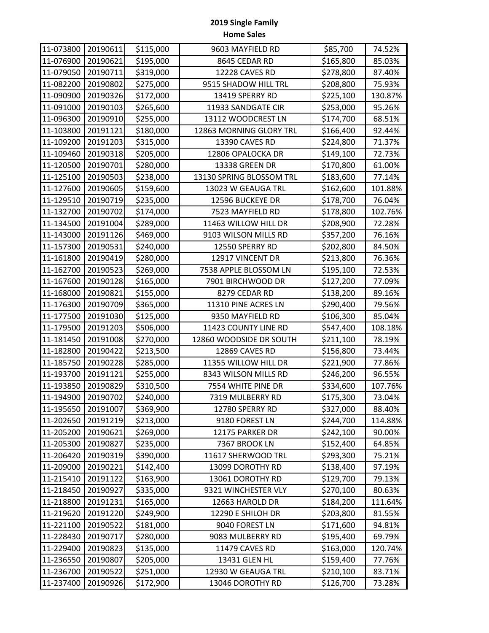| 11-073800 | 20190611 | \$115,000 | 9603 MAYFIELD RD         | \$85,700  | 74.52%  |
|-----------|----------|-----------|--------------------------|-----------|---------|
| 11-076900 | 20190621 | \$195,000 | 8645 CEDAR RD            | \$165,800 | 85.03%  |
| 11-079050 | 20190711 | \$319,000 | 12228 CAVES RD           | \$278,800 | 87.40%  |
| 11-082200 | 20190802 | \$275,000 | 9515 SHADOW HILL TRL     | \$208,800 | 75.93%  |
| 11-090900 | 20190326 | \$172,000 | 13419 SPERRY RD          | \$225,100 | 130.87% |
| 11-091000 | 20190103 | \$265,600 | 11933 SANDGATE CIR       | \$253,000 | 95.26%  |
| 11-096300 | 20190910 | \$255,000 | 13112 WOODCREST LN       | \$174,700 | 68.51%  |
| 11-103800 | 20191121 | \$180,000 | 12863 MORNING GLORY TRL  | \$166,400 | 92.44%  |
| 11-109200 | 20191203 | \$315,000 | 13390 CAVES RD           | \$224,800 | 71.37%  |
| 11-109460 | 20190318 | \$205,000 | 12806 OPALOCKA DR        | \$149,100 | 72.73%  |
| 11-120500 | 20190701 | \$280,000 | 13338 GREEN DR           | \$170,800 | 61.00%  |
| 11-125100 | 20190503 | \$238,000 | 13130 SPRING BLOSSOM TRL | \$183,600 | 77.14%  |
| 11-127600 | 20190605 | \$159,600 | 13023 W GEAUGA TRL       | \$162,600 | 101.88% |
| 11-129510 | 20190719 | \$235,000 | 12596 BUCKEYE DR         | \$178,700 | 76.04%  |
| 11-132700 | 20190702 | \$174,000 | 7523 MAYFIELD RD         | \$178,800 | 102.76% |
| 11-134500 | 20191004 | \$289,000 | 11463 WILLOW HILL DR     | \$208,900 | 72.28%  |
| 11-143000 | 20191126 | \$469,000 | 9103 WILSON MILLS RD     | \$357,200 | 76.16%  |
| 11-157300 | 20190531 | \$240,000 | 12550 SPERRY RD          | \$202,800 | 84.50%  |
| 11-161800 | 20190419 | \$280,000 | 12917 VINCENT DR         | \$213,800 | 76.36%  |
| 11-162700 | 20190523 | \$269,000 | 7538 APPLE BLOSSOM LN    | \$195,100 | 72.53%  |
| 11-167600 | 20190128 | \$165,000 | 7901 BIRCHWOOD DR        | \$127,200 | 77.09%  |
| 11-168000 | 20190821 | \$155,000 | 8279 CEDAR RD            | \$138,200 | 89.16%  |
| 11-176300 | 20190709 | \$365,000 | 11310 PINE ACRES LN      | \$290,400 | 79.56%  |
| 11-177500 | 20191030 | \$125,000 | 9350 MAYFIELD RD         | \$106,300 | 85.04%  |
| 11-179500 | 20191203 | \$506,000 | 11423 COUNTY LINE RD     | \$547,400 | 108.18% |
| 11-181450 | 20191008 | \$270,000 | 12860 WOODSIDE DR SOUTH  | \$211,100 | 78.19%  |
| 11-182800 | 20190422 | \$213,500 | 12869 CAVES RD           | \$156,800 | 73.44%  |
| 11-185750 | 20190228 | \$285,000 | 11355 WILLOW HILL DR     | \$221,900 | 77.86%  |
| 11-193700 | 20191121 | \$255,000 | 8343 WILSON MILLS RD     | \$246,200 | 96.55%  |
| 11-193850 | 20190829 | \$310,500 | 7554 WHITE PINE DR       | \$334,600 | 107.76% |
| 11-194900 | 20190702 | \$240,000 | 7319 MULBERRY RD         | \$175,300 | 73.04%  |
| 11-195650 | 20191007 | \$369,900 | 12780 SPERRY RD          | \$327,000 | 88.40%  |
| 11-202650 | 20191219 | \$213,000 | 9180 FOREST LN           | \$244,700 | 114.88% |
| 11-205200 | 20190621 | \$269,000 | 12175 PARKER DR          | \$242,100 | 90.00%  |
| 11-205300 | 20190827 | \$235,000 | 7367 BROOK LN            | \$152,400 | 64.85%  |
| 11-206420 | 20190319 | \$390,000 | 11617 SHERWOOD TRL       | \$293,300 | 75.21%  |
| 11-209000 | 20190221 | \$142,400 | 13099 DOROTHY RD         | \$138,400 | 97.19%  |
| 11-215410 | 20191122 | \$163,900 | 13061 DOROTHY RD         | \$129,700 | 79.13%  |
| 11-218450 | 20190927 | \$335,000 | 9321 WINCHESTER VLY      | \$270,100 | 80.63%  |
| 11-218800 | 20191231 | \$165,000 | 12663 HAROLD DR          | \$184,200 | 111.64% |
| 11-219620 | 20191220 | \$249,900 | 12290 E SHILOH DR        | \$203,800 | 81.55%  |
| 11-221100 | 20190522 | \$181,000 | 9040 FOREST LN           | \$171,600 | 94.81%  |
| 11-228430 | 20190717 | \$280,000 | 9083 MULBERRY RD         | \$195,400 | 69.79%  |
| 11-229400 | 20190823 | \$135,000 | 11479 CAVES RD           | \$163,000 | 120.74% |
| 11-236550 | 20190807 | \$205,000 | 13431 GLEN HL            | \$159,400 | 77.76%  |
| 11-236700 | 20190522 | \$251,000 | 12930 W GEAUGA TRL       | \$210,100 | 83.71%  |
| 11-237400 | 20190926 | \$172,900 | 13046 DOROTHY RD         | \$126,700 | 73.28%  |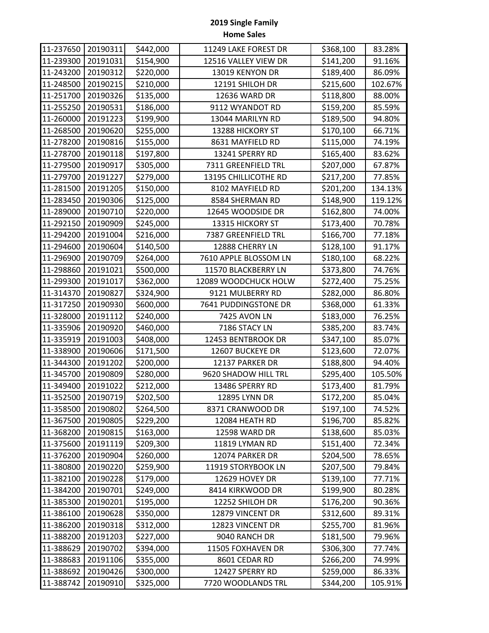| 11-237650 | 20190311 | \$442,000 | 11249 LAKE FOREST DR  | \$368,100 | 83.28%  |
|-----------|----------|-----------|-----------------------|-----------|---------|
| 11-239300 | 20191031 | \$154,900 | 12516 VALLEY VIEW DR  | \$141,200 | 91.16%  |
| 11-243200 | 20190312 | \$220,000 | 13019 KENYON DR       | \$189,400 | 86.09%  |
| 11-248500 | 20190215 | \$210,000 | 12191 SHILOH DR       | \$215,600 | 102.67% |
| 11-251700 | 20190326 | \$135,000 | 12636 WARD DR         | \$118,800 | 88.00%  |
| 11-255250 | 20190531 | \$186,000 | 9112 WYANDOT RD       | \$159,200 | 85.59%  |
| 11-260000 | 20191223 | \$199,900 | 13044 MARILYN RD      | \$189,500 | 94.80%  |
| 11-268500 | 20190620 | \$255,000 | 13288 HICKORY ST      | \$170,100 | 66.71%  |
| 11-278200 | 20190816 | \$155,000 | 8631 MAYFIELD RD      | \$115,000 | 74.19%  |
| 11-278700 | 20190118 | \$197,800 | 13241 SPERRY RD       | \$165,400 | 83.62%  |
| 11-279500 | 20190917 | \$305,000 | 7311 GREENFIELD TRL   | \$207,000 | 67.87%  |
| 11-279700 | 20191227 | \$279,000 | 13195 CHILLICOTHE RD  | \$217,200 | 77.85%  |
| 11-281500 | 20191205 | \$150,000 | 8102 MAYFIELD RD      | \$201,200 | 134.13% |
| 11-283450 | 20190306 | \$125,000 | 8584 SHERMAN RD       | \$148,900 | 119.12% |
| 11-289000 | 20190710 | \$220,000 | 12645 WOODSIDE DR     | \$162,800 | 74.00%  |
| 11-292150 | 20190909 | \$245,000 | 13315 HICKORY ST      | \$173,400 | 70.78%  |
| 11-294200 | 20191004 | \$216,000 | 7387 GREENFIELD TRL   | \$166,700 | 77.18%  |
| 11-294600 | 20190604 | \$140,500 | 12888 CHERRY LN       | \$128,100 | 91.17%  |
| 11-296900 | 20190709 | \$264,000 | 7610 APPLE BLOSSOM LN | \$180,100 | 68.22%  |
| 11-298860 | 20191021 | \$500,000 | 11570 BLACKBERRY LN   | \$373,800 | 74.76%  |
| 11-299300 | 20191017 | \$362,000 | 12089 WOODCHUCK HOLW  | \$272,400 | 75.25%  |
| 11-314370 | 20190827 | \$324,900 | 9121 MULBERRY RD      | \$282,000 | 86.80%  |
| 11-317250 | 20190930 | \$600,000 | 7641 PUDDINGSTONE DR  | \$368,000 | 61.33%  |
| 11-328000 | 20191112 | \$240,000 | 7425 AVON LN          | \$183,000 | 76.25%  |
| 11-335906 | 20190920 | \$460,000 | 7186 STACY LN         | \$385,200 | 83.74%  |
| 11-335919 | 20191003 | \$408,000 | 12453 BENTBROOK DR    | \$347,100 | 85.07%  |
| 11-338900 | 20190606 | \$171,500 | 12607 BUCKEYE DR      | \$123,600 | 72.07%  |
| 11-344300 | 20191202 | \$200,000 | 12137 PARKER DR       | \$188,800 | 94.40%  |
| 11-345700 | 20190809 | \$280,000 | 9620 SHADOW HILL TRL  | \$295,400 | 105.50% |
| 11-349400 | 20191022 | \$212,000 | 13486 SPERRY RD       | \$173,400 | 81.79%  |
| 11-352500 | 20190719 | \$202,500 | 12895 LYNN DR         | \$172,200 | 85.04%  |
| 11-358500 | 20190802 | \$264,500 | 8371 CRANWOOD DR      | \$197,100 | 74.52%  |
| 11-367500 | 20190805 | \$229,200 | 12084 HEATH RD        | \$196,700 | 85.82%  |
| 11-368200 | 20190815 | \$163,000 | 12598 WARD DR         | \$138,600 | 85.03%  |
| 11-375600 | 20191119 | \$209,300 | 11819 LYMAN RD        | \$151,400 | 72.34%  |
| 11-376200 | 20190904 | \$260,000 | 12074 PARKER DR       | \$204,500 | 78.65%  |
| 11-380800 | 20190220 | \$259,900 | 11919 STORYBOOK LN    | \$207,500 | 79.84%  |
| 11-382100 | 20190228 | \$179,000 | 12629 HOVEY DR        | \$139,100 | 77.71%  |
| 11-384200 | 20190701 | \$249,000 | 8414 KIRKWOOD DR      | \$199,900 | 80.28%  |
| 11-385300 | 20190201 | \$195,000 | 12252 SHILOH DR       | \$176,200 | 90.36%  |
| 11-386100 | 20190628 | \$350,000 | 12879 VINCENT DR      | \$312,600 | 89.31%  |
| 11-386200 | 20190318 | \$312,000 | 12823 VINCENT DR      | \$255,700 | 81.96%  |
| 11-388200 | 20191203 | \$227,000 | 9040 RANCH DR         | \$181,500 | 79.96%  |
| 11-388629 | 20190702 | \$394,000 | 11505 FOXHAVEN DR     | \$306,300 | 77.74%  |
| 11-388683 | 20191106 | \$355,000 | 8601 CEDAR RD         | \$266,200 | 74.99%  |
| 11-388692 | 20190426 | \$300,000 | 12427 SPERRY RD       | \$259,000 | 86.33%  |
| 11-388742 | 20190910 | \$325,000 | 7720 WOODLANDS TRL    | \$344,200 | 105.91% |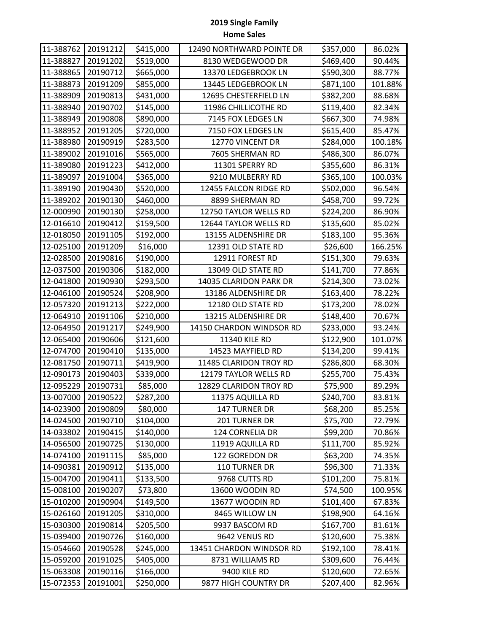| 11-388762 | 20191212 | \$415,000 | 12490 NORTHWARD POINTE DR | \$357,000 | 86.02%  |
|-----------|----------|-----------|---------------------------|-----------|---------|
| 11-388827 | 20191202 | \$519,000 | 8130 WEDGEWOOD DR         | \$469,400 | 90.44%  |
| 11-388865 | 20190712 | \$665,000 | 13370 LEDGEBROOK LN       | \$590,300 | 88.77%  |
| 11-388873 | 20191209 | \$855,000 | 13445 LEDGEBROOK LN       | \$871,100 | 101.88% |
| 11-388909 | 20190813 | \$431,000 | 12695 CHESTERFIELD LN     | \$382,200 | 88.68%  |
| 11-388940 | 20190702 | \$145,000 | 11986 CHILLICOTHE RD      | \$119,400 | 82.34%  |
| 11-388949 | 20190808 | \$890,000 | 7145 FOX LEDGES LN        | \$667,300 | 74.98%  |
| 11-388952 | 20191205 | \$720,000 | 7150 FOX LEDGES LN        | \$615,400 | 85.47%  |
| 11-388980 | 20190919 | \$283,500 | 12770 VINCENT DR          | \$284,000 | 100.18% |
| 11-389002 | 20191016 | \$565,000 | 7605 SHERMAN RD           | \$486,300 | 86.07%  |
| 11-389080 | 20191223 | \$412,000 | 11301 SPERRY RD           | \$355,600 | 86.31%  |
| 11-389097 | 20191004 | \$365,000 | 9210 MULBERRY RD          | \$365,100 | 100.03% |
| 11-389190 | 20190430 | \$520,000 | 12455 FALCON RIDGE RD     | \$502,000 | 96.54%  |
| 11-389202 | 20190130 | \$460,000 | 8899 SHERMAN RD           | \$458,700 | 99.72%  |
| 12-000990 | 20190130 | \$258,000 | 12750 TAYLOR WELLS RD     | \$224,200 | 86.90%  |
| 12-016610 | 20190412 | \$159,500 | 12644 TAYLOR WELLS RD     | \$135,600 | 85.02%  |
| 12-018050 | 20191105 | \$192,000 | 13155 ALDENSHIRE DR       | \$183,100 | 95.36%  |
| 12-025100 | 20191209 | \$16,000  | 12391 OLD STATE RD        | \$26,600  | 166.25% |
| 12-028500 | 20190816 | \$190,000 | 12911 FOREST RD           | \$151,300 | 79.63%  |
| 12-037500 | 20190306 | \$182,000 | 13049 OLD STATE RD        | \$141,700 | 77.86%  |
| 12-041800 | 20190930 | \$293,500 | 14035 CLARIDON PARK DR    | \$214,300 | 73.02%  |
| 12-046100 | 20190524 | \$208,900 | 13186 ALDENSHIRE DR       | \$163,400 | 78.22%  |
| 12-057320 | 20191213 | \$222,000 | 12180 OLD STATE RD        | \$173,200 | 78.02%  |
| 12-064910 | 20191106 | \$210,000 | 13215 ALDENSHIRE DR       | \$148,400 | 70.67%  |
| 12-064950 | 20191217 | \$249,900 | 14150 CHARDON WINDSOR RD  | \$233,000 | 93.24%  |
| 12-065400 | 20190606 | \$121,600 | 11340 KILE RD             | \$122,900 | 101.07% |
| 12-074700 | 20190410 | \$135,000 | 14523 MAYFIELD RD         | \$134,200 | 99.41%  |
| 12-081750 | 20190711 | \$419,900 | 11485 CLARIDON TROY RD    | \$286,800 | 68.30%  |
| 12-090173 | 20190403 | \$339,000 | 12179 TAYLOR WELLS RD     | \$255,700 | 75.43%  |
| 12-095229 | 20190731 | \$85,000  | 12829 CLARIDON TROY RD    | \$75,900  | 89.29%  |
| 13-007000 | 20190522 | \$287,200 | 11375 AQUILLA RD          | \$240,700 | 83.81%  |
| 14-023900 | 20190809 | \$80,000  | 147 TURNER DR             | \$68,200  | 85.25%  |
| 14-024500 | 20190710 | \$104,000 | 201 TURNER DR             | \$75,700  | 72.79%  |
| 14-033802 | 20190415 | \$140,000 | 124 CORNELIA DR           | \$99,200  | 70.86%  |
| 14-056500 | 20190725 | \$130,000 | 11919 AQUILLA RD          | \$111,700 | 85.92%  |
| 14-074100 | 20191115 | \$85,000  | 122 GOREDON DR            | \$63,200  | 74.35%  |
| 14-090381 | 20190912 | \$135,000 | 110 TURNER DR             | \$96,300  | 71.33%  |
| 15-004700 | 20190411 | \$133,500 | 9768 CUTTS RD             | \$101,200 | 75.81%  |
| 15-008100 | 20190207 | \$73,800  | 13600 WOODIN RD           | \$74,500  | 100.95% |
| 15-010200 | 20190904 | \$149,500 | 13677 WOODIN RD           | \$101,400 | 67.83%  |
| 15-026160 | 20191205 | \$310,000 | 8465 WILLOW LN            | \$198,900 | 64.16%  |
| 15-030300 | 20190814 | \$205,500 | 9937 BASCOM RD            | \$167,700 | 81.61%  |
| 15-039400 | 20190726 | \$160,000 | 9642 VENUS RD             | \$120,600 | 75.38%  |
| 15-054660 | 20190528 | \$245,000 | 13451 CHARDON WINDSOR RD  | \$192,100 | 78.41%  |
| 15-059200 | 20191025 | \$405,000 | 8731 WILLIAMS RD          | \$309,600 | 76.44%  |
| 15-063308 | 20190116 | \$166,000 | 9400 KILE RD              | \$120,600 | 72.65%  |
| 15-072353 | 20191001 | \$250,000 | 9877 HIGH COUNTRY DR      | \$207,400 | 82.96%  |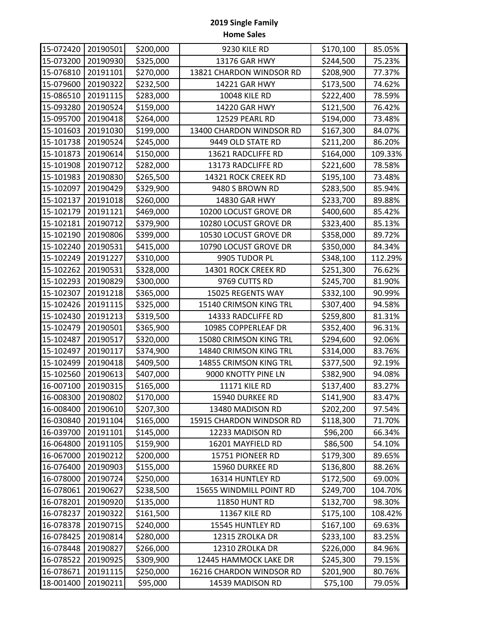| 15-072420 | 20190501 | \$200,000 | 9230 KILE RD             | \$170,100 | 85.05%  |
|-----------|----------|-----------|--------------------------|-----------|---------|
| 15-073200 | 20190930 | \$325,000 | 13176 GAR HWY            | \$244,500 | 75.23%  |
| 15-076810 | 20191101 | \$270,000 | 13821 CHARDON WINDSOR RD | \$208,900 | 77.37%  |
| 15-079600 | 20190322 | \$232,500 | 14221 GAR HWY            | \$173,500 | 74.62%  |
| 15-086510 | 20191115 | \$283,000 | 10048 KILE RD            | \$222,400 | 78.59%  |
| 15-093280 | 20190524 | \$159,000 | 14220 GAR HWY            | \$121,500 | 76.42%  |
| 15-095700 | 20190418 | \$264,000 | 12529 PEARL RD           | \$194,000 | 73.48%  |
| 15-101603 | 20191030 | \$199,000 | 13400 CHARDON WINDSOR RD | \$167,300 | 84.07%  |
| 15-101738 | 20190524 | \$245,000 | 9449 OLD STATE RD        | \$211,200 | 86.20%  |
| 15-101873 | 20190614 | \$150,000 | 13621 RADCLIFFE RD       | \$164,000 | 109.33% |
| 15-101908 | 20190712 | \$282,000 | 13173 RADCLIFFE RD       | \$221,600 | 78.58%  |
| 15-101983 | 20190830 | \$265,500 | 14321 ROCK CREEK RD      | \$195,100 | 73.48%  |
| 15-102097 | 20190429 | \$329,900 | 9480 S BROWN RD          | \$283,500 | 85.94%  |
| 15-102137 | 20191018 | \$260,000 | 14830 GAR HWY            | \$233,700 | 89.88%  |
| 15-102179 | 20191121 | \$469,000 | 10200 LOCUST GROVE DR    | \$400,600 | 85.42%  |
| 15-102181 | 20190712 | \$379,900 | 10280 LOCUST GROVE DR    | \$323,400 | 85.13%  |
| 15-102190 | 20190806 | \$399,000 | 10530 LOCUST GROVE DR    | \$358,000 | 89.72%  |
| 15-102240 | 20190531 | \$415,000 | 10790 LOCUST GROVE DR    | \$350,000 | 84.34%  |
| 15-102249 | 20191227 | \$310,000 | 9905 TUDOR PL            | \$348,100 | 112.29% |
| 15-102262 | 20190531 | \$328,000 | 14301 ROCK CREEK RD      | \$251,300 | 76.62%  |
| 15-102293 | 20190829 | \$300,000 | 9769 CUTTS RD            | \$245,700 | 81.90%  |
| 15-102307 | 20191218 | \$365,000 | 15025 REGENTS WAY        | \$332,100 | 90.99%  |
| 15-102426 | 20191115 | \$325,000 | 15140 CRIMSON KING TRL   | \$307,400 | 94.58%  |
| 15-102430 | 20191213 | \$319,500 | 14333 RADCLIFFE RD       | \$259,800 | 81.31%  |
| 15-102479 | 20190501 | \$365,900 | 10985 COPPERLEAF DR      | \$352,400 | 96.31%  |
| 15-102487 | 20190517 | \$320,000 | 15080 CRIMSON KING TRL   | \$294,600 | 92.06%  |
| 15-102497 | 20190117 | \$374,900 | 14840 CRIMSON KING TRL   | \$314,000 | 83.76%  |
| 15-102499 | 20190418 | \$409,500 | 14855 CRIMSON KING TRL   | \$377,500 | 92.19%  |
| 15-102560 | 20190613 | \$407,000 | 9000 KNOTTY PINE LN      | \$382,900 | 94.08%  |
| 16-007100 | 20190315 | \$165,000 | <b>11171 KILE RD</b>     | \$137,400 | 83.27%  |
| 16-008300 | 20190802 | \$170,000 | 15940 DURKEE RD          | \$141,900 | 83.47%  |
| 16-008400 | 20190610 | \$207,300 | 13480 MADISON RD         | \$202,200 | 97.54%  |
| 16-030840 | 20191104 | \$165,000 | 15915 CHARDON WINDSOR RD | \$118,300 | 71.70%  |
| 16-039700 | 20191101 | \$145,000 | 12233 MADISON RD         | \$96,200  | 66.34%  |
| 16-064800 | 20191105 | \$159,900 | 16201 MAYFIELD RD        | \$86,500  | 54.10%  |
| 16-067000 | 20190212 | \$200,000 | 15751 PIONEER RD         | \$179,300 | 89.65%  |
| 16-076400 | 20190903 | \$155,000 | 15960 DURKEE RD          | \$136,800 | 88.26%  |
| 16-078000 | 20190724 | \$250,000 | 16314 HUNTLEY RD         | \$172,500 | 69.00%  |
| 16-078061 | 20190627 | \$238,500 | 15655 WINDMILL POINT RD  | \$249,700 | 104.70% |
| 16-078201 | 20190920 | \$135,000 | 11850 HUNT RD            | \$132,700 | 98.30%  |
| 16-078237 | 20190322 | \$161,500 | <b>11367 KILE RD</b>     | \$175,100 | 108.42% |
| 16-078378 | 20190715 | \$240,000 | 15545 HUNTLEY RD         | \$167,100 | 69.63%  |
| 16-078425 | 20190814 | \$280,000 | 12315 ZROLKA DR          | \$233,100 | 83.25%  |
| 16-078448 | 20190827 | \$266,000 | 12310 ZROLKA DR          | \$226,000 | 84.96%  |
| 16-078522 | 20190925 | \$309,900 | 12445 HAMMOCK LAKE DR    | \$245,300 | 79.15%  |
| 16-078671 | 20191115 | \$250,000 | 16216 CHARDON WINDSOR RD | \$201,900 | 80.76%  |
| 18-001400 | 20190211 | \$95,000  | 14539 MADISON RD         | \$75,100  | 79.05%  |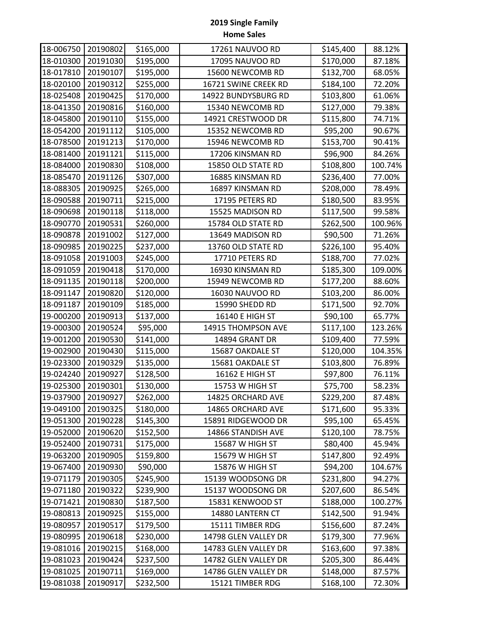| 18-006750 | 20190802 | \$165,000 | 17261 NAUVOO RD      | \$145,400 | 88.12%  |
|-----------|----------|-----------|----------------------|-----------|---------|
| 18-010300 | 20191030 | \$195,000 | 17095 NAUVOO RD      | \$170,000 | 87.18%  |
| 18-017810 | 20190107 | \$195,000 | 15600 NEWCOMB RD     | \$132,700 | 68.05%  |
| 18-020100 | 20190312 | \$255,000 | 16721 SWINE CREEK RD | \$184,100 | 72.20%  |
| 18-025408 | 20190425 | \$170,000 | 14922 BUNDYSBURG RD  | \$103,800 | 61.06%  |
| 18-041350 | 20190816 | \$160,000 | 15340 NEWCOMB RD     | \$127,000 | 79.38%  |
| 18-045800 | 20190110 | \$155,000 | 14921 CRESTWOOD DR   | \$115,800 | 74.71%  |
| 18-054200 | 20191112 | \$105,000 | 15352 NEWCOMB RD     | \$95,200  | 90.67%  |
| 18-078500 | 20191213 | \$170,000 | 15946 NEWCOMB RD     | \$153,700 | 90.41%  |
| 18-081400 | 20191121 | \$115,000 | 17206 KINSMAN RD     | \$96,900  | 84.26%  |
| 18-084000 | 20190830 | \$108,000 | 15850 OLD STATE RD   | \$108,800 | 100.74% |
| 18-085470 | 20191126 | \$307,000 | 16885 KINSMAN RD     | \$236,400 | 77.00%  |
| 18-088305 | 20190925 | \$265,000 | 16897 KINSMAN RD     | \$208,000 | 78.49%  |
| 18-090588 | 20190711 | \$215,000 | 17195 PETERS RD      | \$180,500 | 83.95%  |
| 18-090698 | 20190118 | \$118,000 | 15525 MADISON RD     | \$117,500 | 99.58%  |
| 18-090770 | 20190531 | \$260,000 | 15784 OLD STATE RD   | \$262,500 | 100.96% |
| 18-090878 | 20191002 | \$127,000 | 13649 MADISON RD     | \$90,500  | 71.26%  |
| 18-090985 | 20190225 | \$237,000 | 13760 OLD STATE RD   | \$226,100 | 95.40%  |
| 18-091058 | 20191003 | \$245,000 | 17710 PETERS RD      | \$188,700 | 77.02%  |
| 18-091059 | 20190418 | \$170,000 | 16930 KINSMAN RD     | \$185,300 | 109.00% |
| 18-091135 | 20190118 | \$200,000 | 15949 NEWCOMB RD     | \$177,200 | 88.60%  |
| 18-091147 | 20190820 | \$120,000 | 16030 NAUVOO RD      | \$103,200 | 86.00%  |
| 18-091187 | 20190109 | \$185,000 | 15990 SHEDD RD       | \$171,500 | 92.70%  |
| 19-000200 | 20190913 | \$137,000 | 16140 E HIGH ST      | \$90,100  | 65.77%  |
| 19-000300 | 20190524 | \$95,000  | 14915 THOMPSON AVE   | \$117,100 | 123.26% |
| 19-001200 | 20190530 | \$141,000 | 14894 GRANT DR       | \$109,400 | 77.59%  |
| 19-002900 | 20190430 | \$115,000 | 15687 OAKDALE ST     | \$120,000 | 104.35% |
| 19-023300 | 20190329 | \$135,000 | 15681 OAKDALE ST     | \$103,800 | 76.89%  |
| 19-024240 | 20190927 | \$128,500 | 16162 E HIGH ST      | \$97,800  | 76.11%  |
| 19-025300 | 20190301 | \$130,000 | 15753 W HIGH ST      | \$75,700  | 58.23%  |
| 19-037900 | 20190927 | \$262,000 | 14825 ORCHARD AVE    | \$229,200 | 87.48%  |
| 19-049100 | 20190325 | \$180,000 | 14865 ORCHARD AVE    | \$171,600 | 95.33%  |
| 19-051300 | 20190228 | \$145,300 | 15891 RIDGEWOOD DR   | \$95,100  | 65.45%  |
| 19-052000 | 20190620 | \$152,500 | 14866 STANDISH AVE   | \$120,100 | 78.75%  |
| 19-052400 | 20190731 | \$175,000 | 15687 W HIGH ST      | \$80,400  | 45.94%  |
| 19-063200 | 20190905 | \$159,800 | 15679 W HIGH ST      | \$147,800 | 92.49%  |
| 19-067400 | 20190930 | \$90,000  | 15876 W HIGH ST      | \$94,200  | 104.67% |
| 19-071179 | 20190305 | \$245,900 | 15139 WOODSONG DR    | \$231,800 | 94.27%  |
| 19-071180 | 20190322 | \$239,900 | 15137 WOODSONG DR    | \$207,600 | 86.54%  |
| 19-071421 | 20190830 | \$187,500 | 15831 KENWOOD ST     | \$188,000 | 100.27% |
| 19-080813 | 20190925 | \$155,000 | 14880 LANTERN CT     | \$142,500 | 91.94%  |
| 19-080957 | 20190517 | \$179,500 | 15111 TIMBER RDG     | \$156,600 | 87.24%  |
| 19-080995 | 20190618 | \$230,000 | 14798 GLEN VALLEY DR | \$179,300 | 77.96%  |
| 19-081016 | 20190215 | \$168,000 | 14783 GLEN VALLEY DR | \$163,600 | 97.38%  |
| 19-081023 | 20190424 | \$237,500 | 14782 GLEN VALLEY DR | \$205,300 | 86.44%  |
| 19-081025 | 20190711 | \$169,000 | 14786 GLEN VALLEY DR | \$148,000 | 87.57%  |
| 19-081038 | 20190917 | \$232,500 | 15121 TIMBER RDG     | \$168,100 | 72.30%  |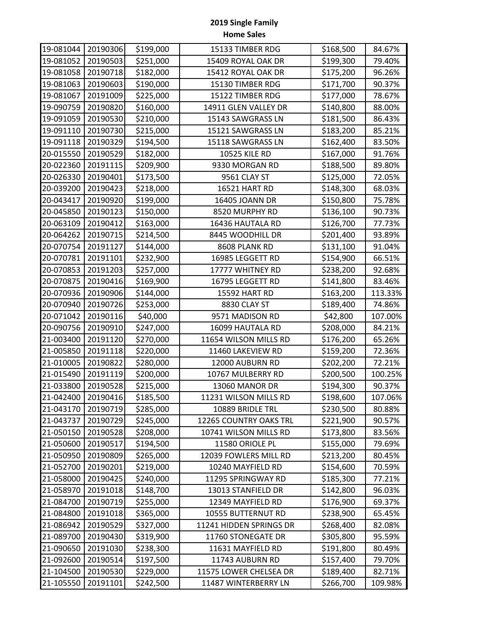| 19-081044 | 20190306 | \$199,000 | 15133 TIMBER RDG        | \$168,500 | 84.67%  |
|-----------|----------|-----------|-------------------------|-----------|---------|
| 19-081052 | 20190503 | \$251,000 | 15409 ROYAL OAK DR      | \$199,300 | 79.40%  |
| 19-081058 | 20190718 | \$182,000 | 15412 ROYAL OAK DR      | \$175,200 | 96.26%  |
| 19-081063 | 20190603 | \$190,000 | 15130 TIMBER RDG        | \$171,700 | 90.37%  |
| 19-081067 | 20191009 | \$225,000 | 15122 TIMBER RDG        | \$177,000 | 78.67%  |
| 19-090759 | 20190820 | \$160,000 | 14911 GLEN VALLEY DR    | \$140,800 | 88.00%  |
| 19-091059 | 20190530 | \$210,000 | 15143 SAWGRASS LN       | \$181,500 | 86.43%  |
| 19-091110 | 20190730 | \$215,000 | 15121 SAWGRASS LN       | \$183,200 | 85.21%  |
| 19-091118 | 20190329 | \$194,500 | 15118 SAWGRASS LN       | \$162,400 | 83.50%  |
| 20-015550 | 20190529 | \$182,000 | <b>10525 KILE RD</b>    | \$167,000 | 91.76%  |
| 20-022360 | 20191115 | \$209,900 | 9330 MORGAN RD          | \$188,500 | 89.80%  |
| 20-026330 | 20190401 | \$173,500 | 9561 CLAY ST            | \$125,000 | 72.05%  |
| 20-039200 | 20190423 | \$218,000 | 16521 HART RD           | \$148,300 | 68.03%  |
| 20-043417 | 20190920 | \$199,000 | 16405 JOANN DR          | \$150,800 | 75.78%  |
| 20-045850 | 20190123 | \$150,000 | 8520 MURPHY RD          | \$136,100 | 90.73%  |
| 20-063109 | 20190412 | \$163,000 | 16436 HAUTALA RD        | \$126,700 | 77.73%  |
| 20-064262 | 20190715 | \$214,500 | 8445 WOODHILL DR        | \$201,400 | 93.89%  |
| 20-070754 | 20191127 | \$144,000 | 8608 PLANK RD           | \$131,100 | 91.04%  |
| 20-070781 | 20191101 | \$232,900 | 16985 LEGGETT RD        | \$154,900 | 66.51%  |
| 20-070853 | 20191203 | \$257,000 | 17777 WHITNEY RD        | \$238,200 | 92.68%  |
| 20-070875 | 20190416 | \$169,900 | 16795 LEGGETT RD        | \$141,800 | 83.46%  |
| 20-070936 | 20190906 | \$144,000 | 15592 HART RD           | \$163,200 | 113.33% |
| 20-070940 | 20190726 | \$253,000 | 8830 CLAY ST            | \$189,400 | 74.86%  |
| 20-071042 | 20190116 | \$40,000  | 9571 MADISON RD         | \$42,800  | 107.00% |
| 20-090756 | 20190910 | \$247,000 | 16099 HAUTALA RD        | \$208,000 | 84.21%  |
| 21-003400 | 20191120 | \$270,000 | 11654 WILSON MILLS RD   | \$176,200 | 65.26%  |
| 21-005850 | 20191118 | \$220,000 | 11460 LAKEVIEW RD       | \$159,200 | 72.36%  |
| 21-010005 | 20190822 | \$280,000 | 12000 AUBURN RD         | \$202,200 | 72.21%  |
| 21-015490 | 20191119 | \$200,000 | 10767 MULBERRY RD       | \$200,500 | 100.25% |
| 21-033800 | 20190528 | \$215,000 | 13060 MANOR DR          | \$194,300 | 90.37%  |
| 21-042400 | 20190416 | \$185,500 | 11231 WILSON MILLS RD   | \$198,600 | 107.06% |
| 21-043170 | 20190719 | \$285,000 | 10889 BRIDLE TRL        | \$230,500 | 80.88%  |
| 21-043737 | 20190729 | \$245,000 | 12265 COUNTRY OAKS TRL  | \$221,900 | 90.57%  |
| 21-050150 | 20190528 | \$208,000 | 10741 WILSON MILLS RD   | \$173,800 | 83.56%  |
| 21-050600 | 20190517 | \$194,500 | 11580 ORIOLE PL         | \$155,000 | 79.69%  |
| 21-050950 | 20190809 | \$265,000 | 12039 FOWLERS MILL RD   | \$213,200 | 80.45%  |
| 21-052700 | 20190201 | \$219,000 | 10240 MAYFIELD RD       | \$154,600 | 70.59%  |
| 21-058000 | 20190425 | \$240,000 | 11295 SPRINGWAY RD      | \$185,300 | 77.21%  |
| 21-058970 | 20191018 | \$148,700 | 13013 STANFIELD DR      | \$142,800 | 96.03%  |
| 21-084700 | 20190719 | \$255,000 | 12349 MAYFIELD RD       | \$176,900 | 69.37%  |
| 21-084800 | 20191018 | \$365,000 | 10555 BUTTERNUT RD      | \$238,900 | 65.45%  |
| 21-086942 | 20190529 | \$327,000 | 11241 HIDDEN SPRINGS DR | \$268,400 | 82.08%  |
| 21-089700 | 20190430 | \$319,900 | 11760 STONEGATE DR      | \$305,800 | 95.59%  |
| 21-090650 | 20191030 | \$238,300 | 11631 MAYFIELD RD       | \$191,800 | 80.49%  |
| 21-092600 | 20190514 | \$197,500 | 11743 AUBURN RD         | \$157,400 | 79.70%  |
| 21-104500 | 20190530 | \$229,000 | 11575 LOWER CHELSEA DR  | \$189,400 | 82.71%  |
| 21-105550 | 20191101 | \$242,500 | 11487 WINTERBERRY LN    | \$266,700 | 109.98% |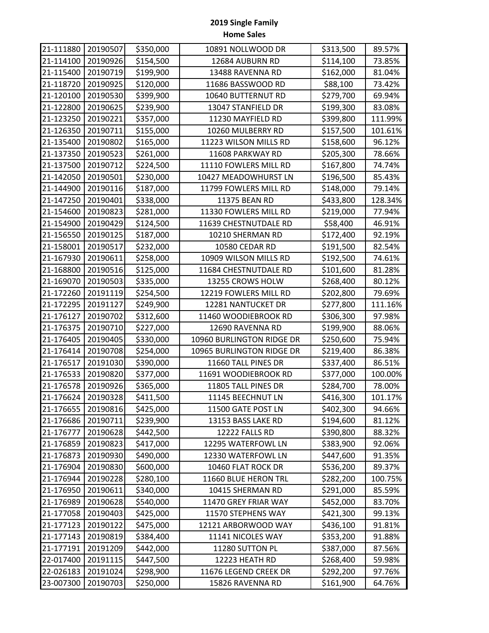| 21-111880 | 20190507 | \$350,000 | 10891 NOLLWOOD DR         | \$313,500 | 89.57%  |
|-----------|----------|-----------|---------------------------|-----------|---------|
| 21-114100 | 20190926 | \$154,500 | 12684 AUBURN RD           | \$114,100 | 73.85%  |
| 21-115400 | 20190719 | \$199,900 | 13488 RAVENNA RD          | \$162,000 | 81.04%  |
| 21-118720 | 20190925 | \$120,000 | 11686 BASSWOOD RD         | \$88,100  | 73.42%  |
| 21-120100 | 20190530 | \$399,900 | 10640 BUTTERNUT RD        | \$279,700 | 69.94%  |
| 21-122800 | 20190625 | \$239,900 | 13047 STANFIELD DR        | \$199,300 | 83.08%  |
| 21-123250 | 20190221 | \$357,000 | 11230 MAYFIELD RD         | \$399,800 | 111.99% |
| 21-126350 | 20190711 | \$155,000 | 10260 MULBERRY RD         | \$157,500 | 101.61% |
| 21-135400 | 20190802 | \$165,000 | 11223 WILSON MILLS RD     | \$158,600 | 96.12%  |
| 21-137350 | 20190523 | \$261,000 | 11608 PARKWAY RD          | \$205,300 | 78.66%  |
| 21-137500 | 20190712 | \$224,500 | 11110 FOWLERS MILL RD     | \$167,800 | 74.74%  |
| 21-142050 | 20190501 | \$230,000 | 10427 MEADOWHURST LN      | \$196,500 | 85.43%  |
| 21-144900 | 20190116 | \$187,000 | 11799 FOWLERS MILL RD     | \$148,000 | 79.14%  |
| 21-147250 | 20190401 | \$338,000 | 11375 BEAN RD             | \$433,800 | 128.34% |
| 21-154600 | 20190823 | \$281,000 | 11330 FOWLERS MILL RD     | \$219,000 | 77.94%  |
| 21-154900 | 20190429 | \$124,500 | 11639 CHESTNUTDALE RD     | \$58,400  | 46.91%  |
| 21-156550 | 20190125 | \$187,000 | 10210 SHERMAN RD          | \$172,400 | 92.19%  |
| 21-158001 | 20190517 | \$232,000 | 10580 CEDAR RD            | \$191,500 | 82.54%  |
| 21-167930 | 20190611 | \$258,000 | 10909 WILSON MILLS RD     | \$192,500 | 74.61%  |
| 21-168800 | 20190516 | \$125,000 | 11684 CHESTNUTDALE RD     | \$101,600 | 81.28%  |
| 21-169070 | 20190503 | \$335,000 | 13255 CROWS HOLW          | \$268,400 | 80.12%  |
| 21-172260 | 20191119 | \$254,500 | 12219 FOWLERS MILL RD     | \$202,800 | 79.69%  |
| 21-172295 | 20191127 | \$249,900 | 12281 NANTUCKET DR        | \$277,800 | 111.16% |
| 21-176127 | 20190702 | \$312,600 | 11460 WOODIEBROOK RD      | \$306,300 | 97.98%  |
| 21-176375 | 20190710 | \$227,000 | 12690 RAVENNA RD          | \$199,900 | 88.06%  |
| 21-176405 | 20190405 | \$330,000 | 10960 BURLINGTON RIDGE DR | \$250,600 | 75.94%  |
| 21-176414 | 20190708 | \$254,000 | 10965 BURLINGTON RIDGE DR | \$219,400 | 86.38%  |
| 21-176517 | 20191030 | \$390,000 | 11660 TALL PINES DR       | \$337,400 | 86.51%  |
| 21-176533 | 20190820 | \$377,000 | 11691 WOODIEBROOK RD      | \$377,000 | 100.00% |
| 21-176578 | 20190926 | \$365,000 | 11805 TALL PINES DR       | \$284,700 | 78.00%  |
| 21-176624 | 20190328 | \$411,500 | 11145 BEECHNUT LN         | \$416,300 | 101.17% |
| 21-176655 | 20190816 | \$425,000 | 11500 GATE POST LN        | \$402,300 | 94.66%  |
| 21-176686 | 20190711 | \$239,900 | 13153 BASS LAKE RD        | \$194,600 | 81.12%  |
| 21-176777 | 20190628 | \$442,500 | 12222 FALLS RD            | \$390,800 | 88.32%  |
| 21-176859 | 20190823 | \$417,000 | 12295 WATERFOWL LN        | \$383,900 | 92.06%  |
| 21-176873 | 20190930 | \$490,000 | 12330 WATERFOWL LN        | \$447,600 | 91.35%  |
| 21-176904 | 20190830 | \$600,000 | 10460 FLAT ROCK DR        | \$536,200 | 89.37%  |
| 21-176944 | 20190228 | \$280,100 | 11660 BLUE HERON TRL      | \$282,200 | 100.75% |
| 21-176950 | 20190611 | \$340,000 | 10415 SHERMAN RD          | \$291,000 | 85.59%  |
| 21-176989 | 20190628 | \$540,000 | 11470 GREY FRIAR WAY      | \$452,000 | 83.70%  |
| 21-177058 | 20190403 | \$425,000 | 11570 STEPHENS WAY        | \$421,300 | 99.13%  |
| 21-177123 | 20190122 | \$475,000 | 12121 ARBORWOOD WAY       | \$436,100 | 91.81%  |
| 21-177143 | 20190819 | \$384,400 | 11141 NICOLES WAY         | \$353,200 | 91.88%  |
| 21-177191 | 20191209 | \$442,000 | 11280 SUTTON PL           | \$387,000 | 87.56%  |
| 22-017400 | 20191115 | \$447,500 | 12223 HEATH RD            | \$268,400 | 59.98%  |
| 22-026183 | 20191024 | \$298,900 | 11676 LEGEND CREEK DR     | \$292,200 | 97.76%  |
| 23-007300 | 20190703 | \$250,000 | 15826 RAVENNA RD          | \$161,900 | 64.76%  |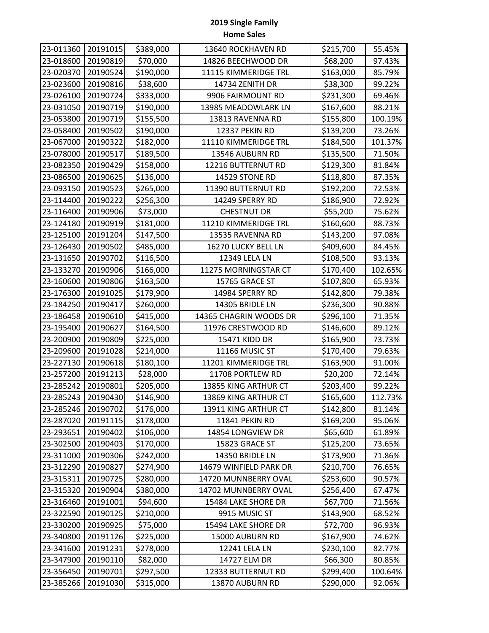| 23-011360 | 20191015 | \$389,000 | 13640 ROCKHAVEN RD     | \$215,700 | 55.45%  |
|-----------|----------|-----------|------------------------|-----------|---------|
| 23-018600 | 20190819 | \$70,000  | 14826 BEECHWOOD DR     | \$68,200  | 97.43%  |
| 23-020370 | 20190524 | \$190,000 | 11115 KIMMERIDGE TRL   | \$163,000 | 85.79%  |
| 23-023600 | 20190816 | \$38,600  | 14734 ZENITH DR        | \$38,300  | 99.22%  |
| 23-026100 | 20190724 | \$333,000 | 9906 FAIRMOUNT RD      | \$231,300 | 69.46%  |
| 23-031050 | 20190719 | \$190,000 | 13985 MEADOWLARK LN    | \$167,600 | 88.21%  |
| 23-053800 | 20190719 | \$155,500 | 13813 RAVENNA RD       | \$155,800 | 100.19% |
| 23-058400 | 20190502 | \$190,000 | 12337 PEKIN RD         | \$139,200 | 73.26%  |
| 23-067000 | 20190322 | \$182,000 | 11110 KIMMERIDGE TRL   | \$184,500 | 101.37% |
| 23-078000 | 20190517 | \$189,500 | 13546 AUBURN RD        | \$135,500 | 71.50%  |
| 23-082350 | 20190429 | \$158,000 | 12216 BUTTERNUT RD     | \$129,300 | 81.84%  |
| 23-086500 | 20190625 | \$136,000 | 14529 STONE RD         | \$118,800 | 87.35%  |
| 23-093150 | 20190523 | \$265,000 | 11390 BUTTERNUT RD     | \$192,200 | 72.53%  |
| 23-114400 | 20190222 | \$256,300 | 14249 SPERRY RD        | \$186,900 | 72.92%  |
| 23-116400 | 20190906 | \$73,000  | <b>CHESTNUT DR</b>     | \$55,200  | 75.62%  |
| 23-124180 | 20190919 | \$181,000 | 11210 KIMMERIDGE TRL   | \$160,600 | 88.73%  |
| 23-125100 | 20191204 | \$147,500 | 13535 RAVENNA RD       | \$143,200 | 97.08%  |
| 23-126430 | 20190502 | \$485,000 | 16270 LUCKY BELL LN    | \$409,600 | 84.45%  |
| 23-131650 | 20190702 | \$116,500 | 12349 LELA LN          | \$108,500 | 93.13%  |
| 23-133270 | 20190906 | \$166,000 | 11275 MORNINGSTAR CT   | \$170,400 | 102.65% |
| 23-160600 | 20190806 | \$163,500 | 15765 GRACE ST         | \$107,800 | 65.93%  |
| 23-176300 | 20191025 | \$179,900 | 14984 SPERRY RD        | \$142,800 | 79.38%  |
| 23-184250 | 20190417 | \$260,000 | 14305 BRIDLE LN        | \$236,300 | 90.88%  |
| 23-186458 | 20190610 | \$415,000 | 14365 CHAGRIN WOODS DR | \$296,100 | 71.35%  |
| 23-195400 | 20190627 | \$164,500 | 11976 CRESTWOOD RD     | \$146,600 | 89.12%  |
| 23-200900 | 20190809 | \$225,000 | 15471 KIDD DR          | \$165,900 | 73.73%  |
| 23-209600 | 20191028 | \$214,000 | 11166 MUSIC ST         | \$170,400 | 79.63%  |
| 23-227130 | 20190618 | \$180,100 | 11201 KIMMERIDGE TRL   | \$163,900 | 91.00%  |
| 23-257200 | 20191213 | \$28,000  | 11708 PORTLEW RD       | \$20,200  | 72.14%  |
| 23-285242 | 20190801 | \$205,000 | 13855 KING ARTHUR CT   | \$203,400 | 99.22%  |
| 23-285243 | 20190430 | \$146,900 | 13869 KING ARTHUR CT   | \$165,600 | 112.73% |
| 23-285246 | 20190702 | \$176,000 | 13911 KING ARTHUR CT   | \$142,800 | 81.14%  |
| 23-287020 | 20191115 | \$178,000 | 11841 PEKIN RD         | \$169,200 | 95.06%  |
| 23-293651 | 20190402 | \$106,000 | 14854 LONGVIEW DR      | \$65,600  | 61.89%  |
| 23-302500 | 20190403 | \$170,000 | 15823 GRACE ST         | \$125,200 | 73.65%  |
| 23-311000 | 20190306 | \$242,000 | 14350 BRIDLE LN        | \$173,900 | 71.86%  |
| 23-312290 | 20190827 | \$274,900 | 14679 WINFIELD PARK DR | \$210,700 | 76.65%  |
| 23-315311 | 20190725 | \$280,000 | 14720 MUNNBERRY OVAL   | \$253,600 | 90.57%  |
| 23-315320 | 20190904 | \$380,000 | 14702 MUNNBERRY OVAL   | \$256,400 | 67.47%  |
| 23-316460 | 20191001 | \$94,600  | 15484 LAKE SHORE DR    | \$67,700  | 71.56%  |
| 23-322590 | 20190125 | \$210,000 | 9915 MUSIC ST          | \$143,900 | 68.52%  |
| 23-330200 | 20190925 | \$75,000  | 15494 LAKE SHORE DR    | \$72,700  | 96.93%  |
| 23-340800 | 20191126 | \$225,000 | 15000 AUBURN RD        | \$167,900 | 74.62%  |
| 23-341600 | 20191231 | \$278,000 | 12241 LELA LN          | \$230,100 | 82.77%  |
| 23-347900 | 20190110 | \$82,000  | 14727 ELM DR           | \$66,300  | 80.85%  |
| 23-356450 | 20190701 | \$297,500 | 12333 BUTTERNUT RD     | \$299,400 | 100.64% |
| 23-385266 | 20191030 | \$315,000 | 13870 AUBURN RD        | \$290,000 | 92.06%  |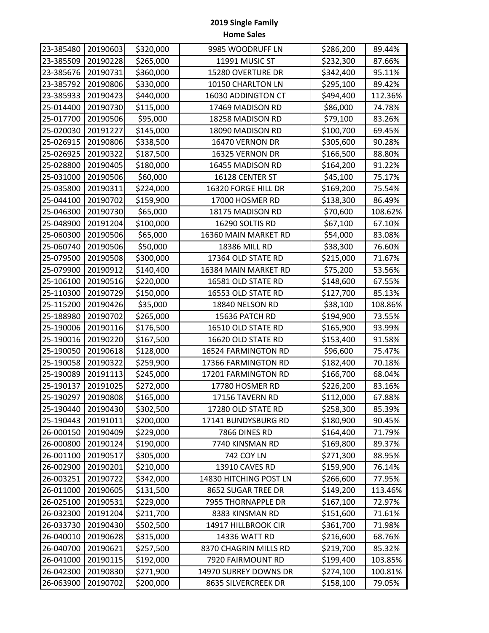| 23-385480 | 20190603 | \$320,000 | 9985 WOODRUFF LN       | \$286,200 | 89.44%  |
|-----------|----------|-----------|------------------------|-----------|---------|
| 23-385509 | 20190228 | \$265,000 | 11991 MUSIC ST         | \$232,300 | 87.66%  |
| 23-385676 | 20190731 | \$360,000 | 15280 OVERTURE DR      | \$342,400 | 95.11%  |
| 23-385792 | 20190806 | \$330,000 | 10150 CHARLTON LN      | \$295,100 | 89.42%  |
| 23-385933 | 20190423 | \$440,000 | 16030 ADDINGTON CT     | \$494,400 | 112.36% |
| 25-014400 | 20190730 | \$115,000 | 17469 MADISON RD       | \$86,000  | 74.78%  |
| 25-017700 | 20190506 | \$95,000  | 18258 MADISON RD       | \$79,100  | 83.26%  |
| 25-020030 | 20191227 | \$145,000 | 18090 MADISON RD       | \$100,700 | 69.45%  |
| 25-026915 | 20190806 | \$338,500 | 16470 VERNON DR        | \$305,600 | 90.28%  |
| 25-026925 | 20190322 | \$187,500 | 16325 VERNON DR        | \$166,500 | 88.80%  |
| 25-028800 | 20190405 | \$180,000 | 16455 MADISON RD       | \$164,200 | 91.22%  |
| 25-031000 | 20190506 | \$60,000  | 16128 CENTER ST        | \$45,100  | 75.17%  |
| 25-035800 | 20190311 | \$224,000 | 16320 FORGE HILL DR    | \$169,200 | 75.54%  |
| 25-044100 | 20190702 | \$159,900 | 17000 HOSMER RD        | \$138,300 | 86.49%  |
| 25-046300 | 20190730 | \$65,000  | 18175 MADISON RD       | \$70,600  | 108.62% |
| 25-048900 | 20191204 | \$100,000 | 16290 SOLTIS RD        | \$67,100  | 67.10%  |
| 25-060300 | 20190506 | \$65,000  | 16360 MAIN MARKET RD   | \$54,000  | 83.08%  |
| 25-060740 | 20190506 | \$50,000  | 18386 MILL RD          | \$38,300  | 76.60%  |
| 25-079500 | 20190508 | \$300,000 | 17364 OLD STATE RD     | \$215,000 | 71.67%  |
| 25-079900 | 20190912 | \$140,400 | 16384 MAIN MARKET RD   | \$75,200  | 53.56%  |
| 25-106100 | 20190516 | \$220,000 | 16581 OLD STATE RD     | \$148,600 | 67.55%  |
| 25-110300 | 20190729 | \$150,000 | 16553 OLD STATE RD     | \$127,700 | 85.13%  |
| 25-115200 | 20190426 | \$35,000  | 18840 NELSON RD        | \$38,100  | 108.86% |
| 25-188980 | 20190702 | \$265,000 | 15636 PATCH RD         | \$194,900 | 73.55%  |
| 25-190006 | 20190116 | \$176,500 | 16510 OLD STATE RD     | \$165,900 | 93.99%  |
| 25-190016 | 20190220 | \$167,500 | 16620 OLD STATE RD     | \$153,400 | 91.58%  |
| 25-190050 | 20190618 | \$128,000 | 16524 FARMINGTON RD    | \$96,600  | 75.47%  |
| 25-190058 | 20190322 | \$259,900 | 17366 FARMINGTON RD    | \$182,400 | 70.18%  |
| 25-190089 | 20191113 | \$245,000 | 17201 FARMINGTON RD    | \$166,700 | 68.04%  |
| 25-190137 | 20191025 | \$272,000 | 17780 HOSMER RD        | \$226,200 | 83.16%  |
| 25-190297 | 20190808 | \$165,000 | 17156 TAVERN RD        | \$112,000 | 67.88%  |
| 25-190440 | 20190430 | \$302,500 | 17280 OLD STATE RD     | \$258,300 | 85.39%  |
| 25-190443 | 20191011 | \$200,000 | 17141 BUNDYSBURG RD    | \$180,900 | 90.45%  |
| 26-000150 | 20190409 | \$229,000 | 7866 DINES RD          | \$164,400 | 71.79%  |
| 26-000800 | 20190124 | \$190,000 | 7740 KINSMAN RD        | \$169,800 | 89.37%  |
| 26-001100 | 20190517 | \$305,000 | <b>742 COY LN</b>      | \$271,300 | 88.95%  |
| 26-002900 | 20190201 | \$210,000 | 13910 CAVES RD         | \$159,900 | 76.14%  |
| 26-003251 | 20190722 | \$342,000 | 14830 HITCHING POST LN | \$266,600 | 77.95%  |
| 26-011000 | 20190605 | \$131,500 | 8652 SUGAR TREE DR     | \$149,200 | 113.46% |
| 26-025100 | 20190531 | \$229,000 | 7955 THORNAPPLE DR     | \$167,100 | 72.97%  |
| 26-032300 | 20191204 | \$211,700 | 8383 KINSMAN RD        | \$151,600 | 71.61%  |
| 26-033730 | 20190430 | \$502,500 | 14917 HILLBROOK CIR    | \$361,700 | 71.98%  |
| 26-040010 | 20190628 | \$315,000 | 14336 WATT RD          | \$216,600 | 68.76%  |
| 26-040700 | 20190621 | \$257,500 | 8370 CHAGRIN MILLS RD  | \$219,700 | 85.32%  |
| 26-041000 | 20190115 | \$192,000 | 7920 FAIRMOUNT RD      | \$199,400 | 103.85% |
| 26-042300 | 20190830 | \$271,900 | 14970 SURREY DOWNS DR  | \$274,100 | 100.81% |
| 26-063900 | 20190702 | \$200,000 | 8635 SILVERCREEK DR    | \$158,100 | 79.05%  |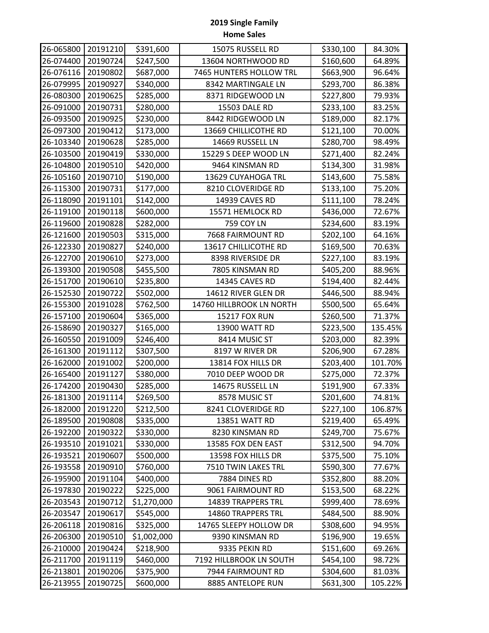| 26-065800 | 20191210 | \$391,600   | 15075 RUSSELL RD          | \$330,100 | 84.30%  |
|-----------|----------|-------------|---------------------------|-----------|---------|
| 26-074400 | 20190724 | \$247,500   | 13604 NORTHWOOD RD        | \$160,600 | 64.89%  |
| 26-076116 | 20190802 | \$687,000   | 7465 HUNTERS HOLLOW TRL   | \$663,900 | 96.64%  |
| 26-079995 | 20190927 | \$340,000   | 8342 MARTINGALE LN        | \$293,700 | 86.38%  |
| 26-080300 | 20190625 | \$285,000   | 8371 RIDGEWOOD LN         | \$227,800 | 79.93%  |
| 26-091000 | 20190731 | \$280,000   | 15503 DALE RD             | \$233,100 | 83.25%  |
| 26-093500 | 20190925 | \$230,000   | 8442 RIDGEWOOD LN         | \$189,000 | 82.17%  |
| 26-097300 | 20190412 | \$173,000   | 13669 CHILLICOTHE RD      | \$121,100 | 70.00%  |
| 26-103340 | 20190628 | \$285,000   | 14669 RUSSELL LN          | \$280,700 | 98.49%  |
| 26-103500 | 20190419 | \$330,000   | 15229 S DEEP WOOD LN      | \$271,400 | 82.24%  |
| 26-104800 | 20190510 | \$420,000   | 9464 KINSMAN RD           | \$134,300 | 31.98%  |
| 26-105160 | 20190710 | \$190,000   | 13629 CUYAHOGA TRL        | \$143,600 | 75.58%  |
| 26-115300 | 20190731 | \$177,000   | 8210 CLOVERIDGE RD        | \$133,100 | 75.20%  |
| 26-118090 | 20191101 | \$142,000   | 14939 CAVES RD            | \$111,100 | 78.24%  |
| 26-119100 | 20190118 | \$600,000   | 15571 HEMLOCK RD          | \$436,000 | 72.67%  |
| 26-119600 | 20190828 | \$282,000   | <b>759 COY LN</b>         | \$234,600 | 83.19%  |
| 26-121600 | 20190503 | \$315,000   | 7668 FAIRMOUNT RD         | \$202,100 | 64.16%  |
| 26-122330 | 20190827 | \$240,000   | 13617 CHILLICOTHE RD      | \$169,500 | 70.63%  |
| 26-122700 | 20190610 | \$273,000   | 8398 RIVERSIDE DR         | \$227,100 | 83.19%  |
| 26-139300 | 20190508 | \$455,500   | 7805 KINSMAN RD           | \$405,200 | 88.96%  |
| 26-151700 | 20190610 | \$235,800   | 14345 CAVES RD            | \$194,400 | 82.44%  |
| 26-152530 | 20190722 | \$502,000   | 14612 RIVER GLEN DR       | \$446,500 | 88.94%  |
| 26-155300 | 20191028 | \$762,500   | 14760 HILLBROOK LN NORTH  | \$500,500 | 65.64%  |
| 26-157100 | 20190604 | \$365,000   | <b>15217 FOX RUN</b>      | \$260,500 | 71.37%  |
| 26-158690 | 20190327 | \$165,000   | 13900 WATT RD             | \$223,500 | 135.45% |
| 26-160550 | 20191009 | \$246,400   | 8414 MUSIC ST             | \$203,000 | 82.39%  |
| 26-161300 | 20191112 | \$307,500   | 8197 W RIVER DR           | \$206,900 | 67.28%  |
| 26-162000 | 20191002 | \$200,000   | 13814 FOX HILLS DR        | \$203,400 | 101.70% |
| 26-165400 | 20191127 | \$380,000   | 7010 DEEP WOOD DR         | \$275,000 | 72.37%  |
| 26-174200 | 20190430 | \$285,000   | 14675 RUSSELL LN          | \$191,900 | 67.33%  |
| 26-181300 | 20191114 | \$269,500   | 8578 MUSIC ST             | \$201,600 | 74.81%  |
| 26-182000 | 20191220 | \$212,500   | 8241 CLOVERIDGE RD        | \$227,100 | 106.87% |
| 26-189500 | 20190808 | \$335,000   | 13851 WATT RD             | \$219,400 | 65.49%  |
| 26-192200 | 20190322 | \$330,000   | 8230 KINSMAN RD           | \$249,700 | 75.67%  |
| 26-193510 | 20191021 | \$330,000   | 13585 FOX DEN EAST        | \$312,500 | 94.70%  |
| 26-193521 | 20190607 | \$500,000   | 13598 FOX HILLS DR        | \$375,500 | 75.10%  |
| 26-193558 | 20190910 | \$760,000   | 7510 TWIN LAKES TRL       | \$590,300 | 77.67%  |
| 26-195900 | 20191104 | \$400,000   | 7884 DINES RD             | \$352,800 | 88.20%  |
| 26-197830 | 20190222 | \$225,000   | 9061 FAIRMOUNT RD         | \$153,500 | 68.22%  |
| 26-203543 | 20190712 | \$1,270,000 | 14839 TRAPPERS TRL        | \$999,400 | 78.69%  |
| 26-203547 | 20190617 | \$545,000   | <b>14860 TRAPPERS TRL</b> | \$484,500 | 88.90%  |
| 26-206118 | 20190816 | \$325,000   | 14765 SLEEPY HOLLOW DR    | \$308,600 | 94.95%  |
| 26-206300 | 20190510 | \$1,002,000 | 9390 KINSMAN RD           | \$196,900 | 19.65%  |
| 26-210000 | 20190424 | \$218,900   | 9335 PEKIN RD             | \$151,600 | 69.26%  |
| 26-211700 | 20191119 | \$460,000   | 7192 HILLBROOK LN SOUTH   | \$454,100 | 98.72%  |
| 26-213801 | 20190206 | \$375,900   | 7944 FAIRMOUNT RD         | \$304,600 | 81.03%  |
| 26-213955 | 20190725 | \$600,000   | 8885 ANTELOPE RUN         | \$631,300 | 105.22% |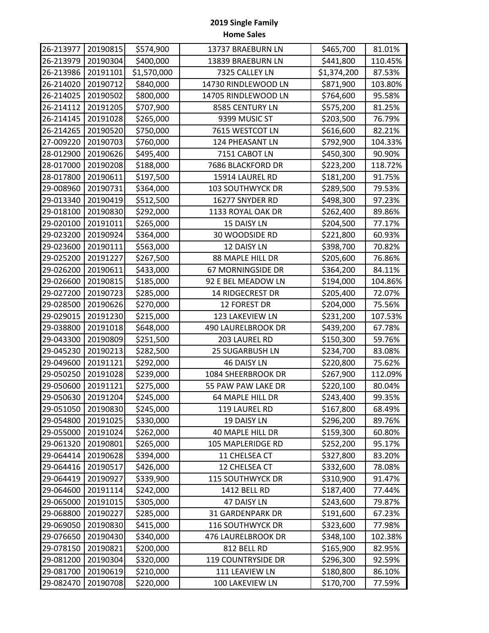| 26-213977 | 20190815 | \$574,900   | 13737 BRAEBURN LN         | \$465,700   | 81.01%  |
|-----------|----------|-------------|---------------------------|-------------|---------|
| 26-213979 | 20190304 | \$400,000   | 13839 BRAEBURN LN         | \$441,800   | 110.45% |
| 26-213986 | 20191101 | \$1,570,000 | 7325 CALLEY LN            | \$1,374,200 | 87.53%  |
| 26-214020 | 20190712 | \$840,000   | 14730 RINDLEWOOD LN       | \$871,900   | 103.80% |
| 26-214025 | 20190502 | \$800,000   | 14705 RINDLEWOOD LN       | \$764,600   | 95.58%  |
| 26-214112 | 20191205 | \$707,900   | 8585 CENTURY LN           | \$575,200   | 81.25%  |
| 26-214145 | 20191028 | \$265,000   | 9399 MUSIC ST             | \$203,500   | 76.79%  |
| 26-214265 | 20190520 | \$750,000   | 7615 WESTCOT LN           | \$616,600   | 82.21%  |
| 27-009220 | 20190703 | \$760,000   | 124 PHEASANT LN           | \$792,900   | 104.33% |
| 28-012900 | 20190626 | \$495,400   | 7151 CABOT LN             | \$450,300   | 90.90%  |
| 28-017000 | 20190208 | \$188,000   | 7686 BLACKFORD DR         | \$223,200   | 118.72% |
| 28-017800 | 20190611 | \$197,500   | 15914 LAUREL RD           | \$181,200   | 91.75%  |
| 29-008960 | 20190731 | \$364,000   | 103 SOUTHWYCK DR          | \$289,500   | 79.53%  |
| 29-013340 | 20190419 | \$512,500   | 16277 SNYDER RD           | \$498,300   | 97.23%  |
| 29-018100 | 20190830 | \$292,000   | 1133 ROYAL OAK DR         | \$262,400   | 89.86%  |
| 29-020100 | 20191011 | \$265,000   | 15 DAISY LN               | \$204,500   | 77.17%  |
| 29-023200 | 20190924 | \$364,000   | 30 WOODSIDE RD            | \$221,800   | 60.93%  |
| 29-023600 | 20190111 | \$563,000   | 12 DAISY LN               | \$398,700   | 70.82%  |
| 29-025200 | 20191227 | \$267,500   | 88 MAPLE HILL DR          | \$205,600   | 76.86%  |
| 29-026200 | 20190611 | \$433,000   | 67 MORNINGSIDE DR         | \$364,200   | 84.11%  |
| 29-026600 | 20190815 | \$185,000   | 92 E BEL MEADOW LN        | \$194,000   | 104.86% |
| 29-027200 | 20190723 | \$285,000   | 14 RIDGECREST DR          | \$205,400   | 72.07%  |
| 29-028500 | 20190626 | \$270,000   | 12 FOREST DR              | \$204,000   | 75.56%  |
| 29-029015 | 20191230 | \$215,000   | 123 LAKEVIEW LN           | \$231,200   | 107.53% |
| 29-038800 | 20191018 | \$648,000   | <b>490 LAURELBROOK DR</b> | \$439,200   | 67.78%  |
| 29-043300 | 20190809 | \$251,500   | 203 LAUREL RD             | \$150,300   | 59.76%  |
| 29-045230 | 20190213 | \$282,500   | <b>25 SUGARBUSH LN</b>    | \$234,700   | 83.08%  |
| 29-049600 | 20191121 | \$292,000   | 46 DAISY LN               | \$220,800   | 75.62%  |
| 29-050250 | 20191028 | \$239,000   | 1084 SHEERBROOK DR        | \$267,900   | 112.09% |
| 29-050600 | 20191121 | \$275,000   | 55 PAW PAW LAKE DR        | \$220,100   | 80.04%  |
| 29-050630 | 20191204 | \$245,000   | 64 MAPLE HILL DR          | \$243,400   | 99.35%  |
| 29-051050 | 20190830 | \$245,000   | 119 LAUREL RD             | \$167,800   | 68.49%  |
| 29-054800 | 20191025 | \$330,000   | 19 DAISY LN               | \$296,200   | 89.76%  |
| 29-055000 | 20191024 | \$262,000   | 40 MAPLE HILL DR          | \$159,300   | 60.80%  |
| 29-061320 | 20190801 | \$265,000   | 105 MAPLERIDGE RD         | \$252,200   | 95.17%  |
| 29-064414 | 20190628 | \$394,000   | 11 CHELSEA CT             | \$327,800   | 83.20%  |
| 29-064416 | 20190517 | \$426,000   | 12 CHELSEA CT             | \$332,600   | 78.08%  |
| 29-064419 | 20190927 | \$339,900   | 115 SOUTHWYCK DR          | \$310,900   | 91.47%  |
| 29-064600 | 20191114 | \$242,000   | 1412 BELL RD              | \$187,400   | 77.44%  |
| 29-065000 | 20191015 | \$305,000   | 47 DAISY LN               | \$243,600   | 79.87%  |
| 29-068800 | 20190227 | \$285,000   | 31 GARDENPARK DR          | \$191,600   | 67.23%  |
| 29-069050 | 20190830 | \$415,000   | 116 SOUTHWYCK DR          | \$323,600   | 77.98%  |
| 29-076650 | 20190430 | \$340,000   | 476 LAURELBROOK DR        | \$348,100   | 102.38% |
| 29-078150 | 20190821 | \$200,000   | 812 BELL RD               | \$165,900   | 82.95%  |
| 29-081200 | 20190304 | \$320,000   | 119 COUNTRYSIDE DR        | \$296,300   | 92.59%  |
| 29-081700 | 20190619 | \$210,000   | 111 LEAVIEW LN            | \$180,800   | 86.10%  |
| 29-082470 | 20190708 | \$220,000   | 100 LAKEVIEW LN           | \$170,700   | 77.59%  |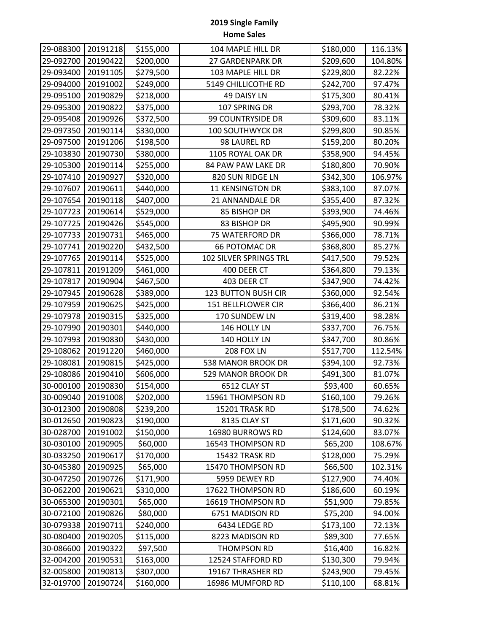| 29-088300 | 20191218 | \$155,000 | 104 MAPLE HILL DR      | \$180,000 | 116.13% |
|-----------|----------|-----------|------------------------|-----------|---------|
| 29-092700 | 20190422 | \$200,000 | 27 GARDENPARK DR       | \$209,600 | 104.80% |
| 29-093400 | 20191105 | \$279,500 | 103 MAPLE HILL DR      | \$229,800 | 82.22%  |
| 29-094000 | 20191002 | \$249,000 | 5149 CHILLICOTHE RD    | \$242,700 | 97.47%  |
| 29-095100 | 20190829 | \$218,000 | 49 DAISY LN            | \$175,300 | 80.41%  |
| 29-095300 | 20190822 | \$375,000 | 107 SPRING DR          | \$293,700 | 78.32%  |
| 29-095408 | 20190926 | \$372,500 | 99 COUNTRYSIDE DR      | \$309,600 | 83.11%  |
| 29-097350 | 20190114 | \$330,000 | 100 SOUTHWYCK DR       | \$299,800 | 90.85%  |
| 29-097500 | 20191206 | \$198,500 | 98 LAUREL RD           | \$159,200 | 80.20%  |
| 29-103830 | 20190730 | \$380,000 | 1105 ROYAL OAK DR      | \$358,900 | 94.45%  |
| 29-105300 | 20190114 | \$255,000 | 84 PAW PAW LAKE DR     | \$180,800 | 70.90%  |
| 29-107410 | 20190927 | \$320,000 | 820 SUN RIDGE LN       | \$342,300 | 106.97% |
| 29-107607 | 20190611 | \$440,000 | 11 KENSINGTON DR       | \$383,100 | 87.07%  |
| 29-107654 | 20190118 | \$407,000 | 21 ANNANDALE DR        | \$355,400 | 87.32%  |
| 29-107723 | 20190614 | \$529,000 | 85 BISHOP DR           | \$393,900 | 74.46%  |
| 29-107725 | 20190426 | \$545,000 | 83 BISHOP DR           | \$495,900 | 90.99%  |
| 29-107733 | 20190731 | \$465,000 | 75 WATERFORD DR        | \$366,000 | 78.71%  |
| 29-107741 | 20190220 | \$432,500 | <b>66 POTOMAC DR</b>   | \$368,800 | 85.27%  |
| 29-107765 | 20190114 | \$525,000 | 102 SILVER SPRINGS TRL | \$417,500 | 79.52%  |
| 29-107811 | 20191209 | \$461,000 | 400 DEER CT            | \$364,800 | 79.13%  |
| 29-107817 | 20190904 | \$467,500 | 403 DEER CT            | \$347,900 | 74.42%  |
| 29-107945 | 20190628 | \$389,000 | 123 BUTTON BUSH CIR    | \$360,000 | 92.54%  |
| 29-107959 | 20190625 | \$425,000 | 151 BELLFLOWER CIR     | \$366,400 | 86.21%  |
| 29-107978 | 20190315 | \$325,000 | 170 SUNDEW LN          | \$319,400 | 98.28%  |
| 29-107990 | 20190301 | \$440,000 | 146 HOLLY LN           | \$337,700 | 76.75%  |
| 29-107993 | 20190830 | \$430,000 | 140 HOLLY LN           | \$347,700 | 80.86%  |
| 29-108062 | 20191220 | \$460,000 | 208 FOX LN             | \$517,700 | 112.54% |
| 29-108081 | 20190815 | \$425,000 | 538 MANOR BROOK DR     | \$394,100 | 92.73%  |
| 29-108086 | 20190410 | \$606,000 | 529 MANOR BROOK DR     | \$491,300 | 81.07%  |
| 30-000100 | 20190830 | \$154,000 | 6512 CLAY ST           | \$93,400  | 60.65%  |
| 30-009040 | 20191008 | \$202,000 | 15961 THOMPSON RD      | \$160,100 | 79.26%  |
| 30-012300 | 20190808 | \$239,200 | 15201 TRASK RD         | \$178,500 | 74.62%  |
| 30-012650 | 20190823 | \$190,000 | 8135 CLAY ST           | \$171,600 | 90.32%  |
| 30-028700 | 20191002 | \$150,000 | 16980 BURROWS RD       | \$124,600 | 83.07%  |
| 30-030100 | 20190905 | \$60,000  | 16543 THOMPSON RD      | \$65,200  | 108.67% |
| 30-033250 | 20190617 | \$170,000 | 15432 TRASK RD         | \$128,000 | 75.29%  |
| 30-045380 | 20190925 | \$65,000  | 15470 THOMPSON RD      | \$66,500  | 102.31% |
| 30-047250 | 20190726 | \$171,900 | 5959 DEWEY RD          | \$127,900 | 74.40%  |
| 30-062200 | 20190621 | \$310,000 | 17622 THOMPSON RD      | \$186,600 | 60.19%  |
| 30-065300 | 20190301 | \$65,000  | 16619 THOMPSON RD      | \$51,900  | 79.85%  |
| 30-072100 | 20190826 | \$80,000  | 6751 MADISON RD        | \$75,200  | 94.00%  |
| 30-079338 | 20190711 | \$240,000 | 6434 LEDGE RD          | \$173,100 | 72.13%  |
| 30-080400 | 20190205 | \$115,000 | 8223 MADISON RD        | \$89,300  | 77.65%  |
| 30-086600 | 20190322 | \$97,500  | THOMPSON RD            | \$16,400  | 16.82%  |
| 32-004200 | 20190531 | \$163,000 | 12524 STAFFORD RD      | \$130,300 | 79.94%  |
| 32-005800 | 20190813 | \$307,000 | 19167 THRASHER RD      | \$243,900 | 79.45%  |
| 32-019700 | 20190724 | \$160,000 | 16986 MUMFORD RD       | \$110,100 | 68.81%  |